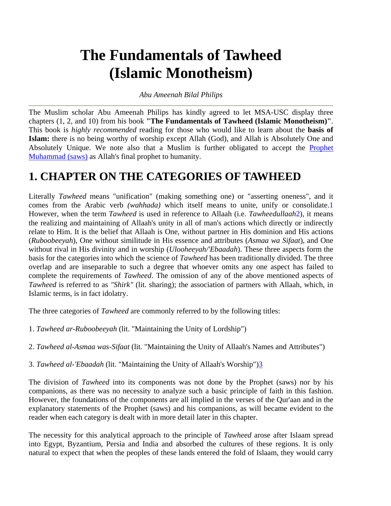## **The Fundamentals of Tawheed (Islamic Monotheism)**

#### *Abu Ameenah Bilal Philips*

The Muslim scholar Abu Ameenah Philips has kindly agreed to let MSA-USC display three chapters (1, 2, and 10) from his book **"The Fundamentals of Tawheed (Islamic Monotheism)"**. This book is *highly recommended* reading for those who would like to learn about the **basis of Islam:** there is no being worthy of worship except Allah (God), and Allah is Absolutely One and Absolutely Unique. We note also that a Muslim is further obligated to accept the Prophet Muhammad (saws) as Allah's final prophet to humanity.

## **1. CHAPTER ON THE CATEGORIES OF TAWHEED**

Literally *Tawheed* means "unification" (making something one) or "asserting oneness", and it comes from the Arabic verb *(wahhada)* which itself means to unite, unify or consolidate.1 However, when the term *Tawheed* is used in reference to Allaah (i.e. *Tawheedullaah*2), it means the realizing and maintaining of Allaah's unity in all of man's actions which directly or indirectly relate to Him. It is the belief that Allaah is One, without partner in His dominion and His actions (*Ruboobeeyah*), One without similitude in His essence and attributes (*Asmaa wa Sifaat*), and One without rival in His divinity and in worship (*Ulooheeyah/'Ebaadah*). These three aspects form the basis for the categories into which the science of *Tawheed* has been traditionally divided. The three overlap and are inseparable to such a degree that whoever omits any one aspect has failed to complete the requirements of *Tawheed*. The omission of any of the above mentioned aspects of *Tawheed* is referred to as *"Shirk"* (lit. sharing); the association of partners with Allaah, which, in Islamic terms, is in fact idolatry.

The three categories of *Tawheed* are commonly referred to by the following titles:

- 1. *Tawheed ar-Ruboobeeyah* (lit. "Maintaining the Unity of Lordship")
- 2. *Tawheed al-Asmaa was-Sifaat* (lit. "Maintaining the Unity of Allaah's Names and Attributes")
- 3. *Tawheed al-'Ebaadah* (lit. "Maintaining the Unity of Allaah's Worship")3

The division of *Tawheed* into its components was not done by the Prophet (saws) nor by his companions, as there was no necessity to analyze such a basic principle of faith in this fashion. However, the foundations of the components are all implied in the verses of the Qur'aan and in the explanatory statements of the Prophet (saws) and his companions, as will became evident to the reader when each category is dealt with in more detail later in this chapter.

The necessity for this analytical approach to the principle of *Tawheed* arose after Islaam spread into Egypt, Byzantium, Persia and India and absorbed the cultures of these regions. It is only natural to expect that when the peoples of these lands entered the fold of Islaam, they would carry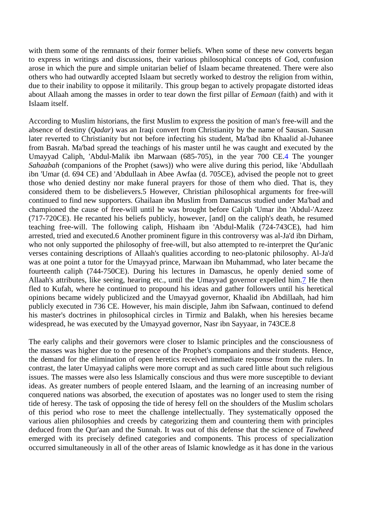with them some of the remnants of their former beliefs. When some of these new converts began to express in writings and discussions, their various philosophical concepts of God, confusion arose in which the pure and simple unitarian belief of Islaam became threatened. There were also others who had outwardly accepted Islaam but secretly worked to destroy the religion from within, due to their inability to oppose it militarily. This group began to actively propagate distorted ideas about Allaah among the masses in order to tear down the first pillar of *Eemaan* (faith) and with it Islaam itself.

According to Muslim historians, the first Muslim to express the position of man's free-will and the absence of destiny (*Qadar*) was an Iraqi convert from Christianity by the name of Sausan. Sausan later reverted to Christianity but not before infecting his student, Ma'bad ibn Khaalid al-Juhanee from Basrah. Ma'bad spread the teachings of his master until he was caught and executed by the Umayyad Caliph, 'Abdul-Malik ibn Marwaan (685-705), in the year 700 CE.4 The younger *Sahaabah* (companions of the Prophet (saws)) who were alive during this period, like 'Abdullaah ibn 'Umar (d. 694 CE) and 'Abdullaah in Abee Awfaa (d. 705CE), advised the people not to greet those who denied destiny nor make funeral prayers for those of them who died. That is, they considered them to be disbelievers.5 However, Christian philosophical arguments for free-will continued to find new supporters. Ghailaan ibn Muslim from Damascus studied under Ma'bad and championed the cause of free-will until he was brought before Caliph 'Umar ibn 'Abdul-'Azeez (717-720CE). He recanted his beliefs publicly, however, [and] on the caliph's death, he resumed teaching free-will. The following caliph, Hishaam ibn 'Abdul-Malik (724-743CE), had him arrested, tried and executed.6 Another prominent figure in this controversy was al-Ja'd ibn Dirham, who not only supported the philosophy of free-will, but also attempted to re-interpret the Qur'anic verses containing descriptions of Allaah's qualities according to neo-platonic philosophy. Al-Ja'd was at one point a tutor for the Umayyad prince, Marwaan ibn Muhammad, who later became the fourteenth caliph (744-750CE). During his lectures in Damascus, he openly denied some of Allaah's attributes, like seeing, hearing etc., until the Umayyad governor expelled him.7 He then fled to Kufah, where he continued to propound his ideas and gather followers until his heretical opinions became widely publicized and the Umayyad governor, Khaalid ibn Abdillaah, had him publicly executed in 736 CE. However, his main disciple, Jahm ibn Safwaan, continued to defend his master's doctrines in philosophical circles in Tirmiz and Balakh, when his heresies became widespread, he was executed by the Umayyad governor, Nasr ibn Sayyaar, in 743CE.8

The early caliphs and their governors were closer to Islamic principles and the consciousness of the masses was higher due to the presence of the Prophet's companions and their students. Hence, the demand for the elimination of open heretics received immediate response from the rulers. In contrast, the later Umayyad caliphs were more corrupt and as such cared little about such religious issues. The masses were also less Islamically conscious and thus were more susceptible to deviant ideas. As greater numbers of people entered Islaam, and the learning of an increasing number of conquered nations was absorbed, the execution of apostates was no longer used to stem the rising tide of heresy. The task of opposing the tide of heresy fell on the shoulders of the Muslim scholars of this period who rose to meet the challenge intellectually. They systematically opposed the various alien philosophies and creeds by categorizing them and countering them with principles deduced from the Qur'aan and the Sunnah. It was out of this defense that the science of *Tawheed* emerged with its precisely defined categories and components. This process of specialization occurred simultaneously in all of the other areas of Islamic knowledge as it has done in the various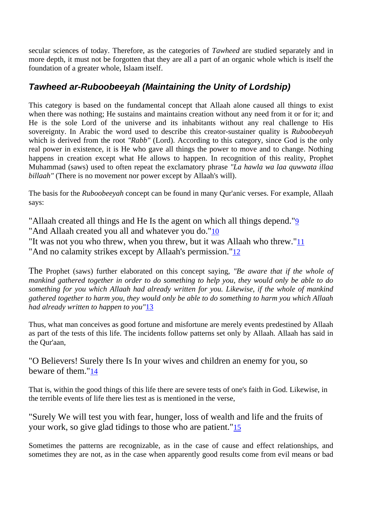secular sciences of today. Therefore, as the categories of *Tawheed* are studied separately and in more depth, it must not be forgotten that they are all a part of an organic whole which is itself the foundation of a greater whole, Islaam itself.

### *Tawheed ar-Ruboobeeyah (Maintaining the Unity of Lordship)*

This category is based on the fundamental concept that Allaah alone caused all things to exist when there was nothing; He sustains and maintains creation without any need from it or for it; and He is the sole Lord of the universe and its inhabitants without any real challenge to His sovereignty. In Arabic the word used to describe this creator-sustainer quality is *Ruboobeeyah* which is derived from the root *"Rabb"* (Lord). According to this category, since God is the only real power in existence, it is He who gave all things the power to move and to change. Nothing happens in creation except what He allows to happen. In recognition of this reality, Prophet Muhammad (saws) used to often repeat the exclamatory phrase *"La hawla wa laa quwwata illaa billaah"* (There is no movement nor power except by Allaah's will).

The basis for the *Ruboobeeyah* concept can be found in many Qur'anic verses. For example, Allaah says:

"Allaah created all things and He Is the agent on which all things depend."9

"And Allaah created you all and whatever you do."10

"It was not you who threw, when you threw, but it was Allaah who threw."11

"And no calamity strikes except by Allaah's permission."12

The Prophet (saws) further elaborated on this concept saying, *"Be aware that if the whole of mankind gathered together in order to do something to help you, they would only be able to do something for you which Allaah had already written for you. Likewise, if the whole of mankind gathered together to harm you, they would only be able to do something to harm you which Allaah had already written to happen to you"*13

Thus, what man conceives as good fortune and misfortune are merely events predestined by Allaah as part of the tests of this life. The incidents follow patterns set only by Allaah. Allaah has said in the Qur'aan,

"O Believers! Surely there Is In your wives and children an enemy for you, so beware of them."14

That is, within the good things of this life there are severe tests of one's faith in God. Likewise, in the terrible events of life there lies test as is mentioned in the verse,

"Surely We will test you with fear, hunger, loss of wealth and life and the fruits of your work, so give glad tidings to those who are patient."15

Sometimes the patterns are recognizable, as in the case of cause and effect relationships, and sometimes they are not, as in the case when apparently good results come from evil means or bad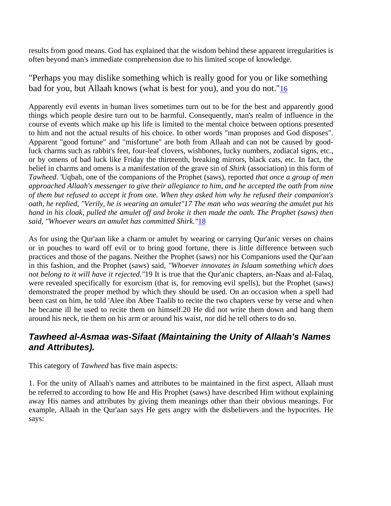results from good means. God has explained that the wisdom behind these apparent irregularities is often beyond man's immediate comprehension due to his limited scope of knowledge.

#### "Perhaps you may dislike something which is really good for you or like something bad for you, but Allaah knows (what is best for you), and you do not."16

Apparently evil events in human lives sometimes turn out to be for the best and apparently good things which people desire turn out to be harmful. Consequently, man's realm of influence in the course of events which make up his life is limited to the mental choice between options presented to him and not the actual results of his choice. In other words "man proposes and God disposes". Apparent "good fortune" and "misfortune" are both from Allaah and can not be caused by goodluck charms such as rabbit's feet, four-leaf clovers, wishbones, lucky numbers, zodiacal signs, etc., or by omens of bad luck like Friday the thirteenth, breaking mirrors, black cats, etc. In fact, the belief in charms and omens is a manifestation of the grave sin of *Shirk* (association) in this form of *Tawheed*. 'Uqbah, one of the companions of the Prophet (saws), reported *that once a group of men approached Allaah's messenger to give their allegiance to him, and he accepted the oath from nine of them but refused to accept it from one. When they asked him why he refused their companion's oath, he replied, "Verily, he is wearing an amulet"17 The man who was wearing the amulet put his hand in his cloak, pulled the amulet off and broke it then made the oath. The Prophet (saws) then said, "Whoever wears an amulet has committed Shirk."*18

As for using the Qur'aan like a charm or amulet by wearing or carrying Qur'anic verses on chains or in pouches to ward off evil or to bring good fortune, there is little difference between such practices and those of the pagans. Neither the Prophet (saws) nor his Companions used the Qur'aan in this fashion, and the Prophet (saws) said, *"Whoever innovates in Islaam something which does not belong to it will have it rejected."*19 It is true that the Qur'anic chapters, an-Naas and al-Falaq, were revealed specifically for exorcism (that is, for removing evil spells), but the Prophet (saws) demonstrated the proper method by which they should be used. On an occasion when a spell had been cast on him, he told 'Alee ibn Abee Taalib to recite the two chapters verse by verse and when he became ill he used to recite them on himself.20 He did not write them down and hang them around his neck, tie them on his arm or around his waist, nor did he tell others to do so.

#### *Tawheed al-Asmaa was-Sifaat (Maintaining the Unity of Allaah's Names and Attributes).*

This category of *Tawheed* has five main aspects:

1. For the unity of Allaah's names and attributes to be maintained in the first aspect, Allaah must be referred to according to how He and His Prophet (saws) have described Him without explaining away His names and attributes by giving them meanings other than their obvious meanings. For example, Allaah in the Qur'aan says He gets angry with the disbelievers and the hypocrites. He says: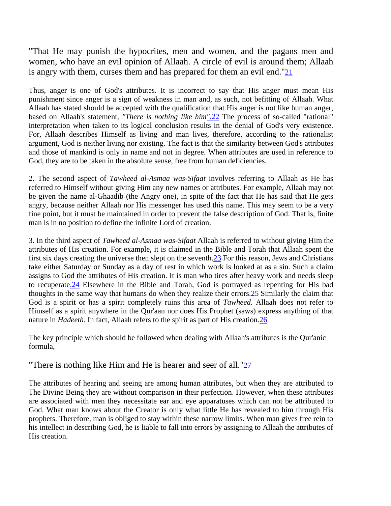"That He may punish the hypocrites, men and women, and the pagans men and women, who have an evil opinion of Allaah. A circle of evil is around them; Allaah is angry with them, curses them and has prepared for them an evil end."21

Thus, anger is one of God's attributes. It is incorrect to say that His anger must mean His punishment since anger is a sign of weakness in man and, as such, not befitting of Allaah. What Allaah has stated should be accepted with the qualification that His anger is not like human anger, based on Allaah's statement, *"There is nothing like him"*.22 The process of so-called "rational" interpretation when taken to its logical conclusion results in the denial of God's very existence. For, Allaah describes Himself as living and man lives, therefore, according to the rationalist argument, God is neither living nor existing. The fact is that the similarity between God's attributes and those of mankind is only in name and not in degree. When attributes are used in reference to God, they are to be taken in the absolute sense, free from human deficiencies.

2. The second aspect of *Tawheed al-Asmaa was-Sifaat* involves referring to Allaah as He has referred to Himself without giving Him any new names or attributes. For example, Allaah may not be given the name al-Ghaadib (the Angry one), in spite of the fact that He has said that He gets angry, because neither Allaah nor His messenger has used this name. This may seem to be a very fine point, but it must be maintained in order to prevent the false description of God. That is, finite man is in no position to define the infinite Lord of creation.

3. In the third aspect of *Tawheed al-Asmaa was-Sifaat* Allaah is referred to without giving Him the attributes of His creation. For example, it is claimed in the Bible and Torah that Allaah spent the first six days creating the universe then slept on the seventh. 23 For this reason, Jews and Christians take either Saturday or Sunday as a day of rest in which work is looked at as a sin. Such a claim assigns to God the attributes of His creation. It is man who tires after heavy work and needs sleep to recuperate.24 Elsewhere in the Bible and Torah, God is portrayed as repenting for His bad thoughts in the same way that humans do when they realize their errors.25 Similarly the claim that God is a spirit or has a spirit completely ruins this area of *Tawheed*. Allaah does not refer to Himself as a spirit anywhere in the Qur'aan nor does His Prophet (saws) express anything of that nature in *Hadeeth*. In fact, Allaah refers to the spirit as part of His creation.26

The key principle which should be followed when dealing with Allaah's attributes is the Qur'anic formula,

"There is nothing like Him and He is hearer and seer of all."27

The attributes of hearing and seeing are among human attributes, but when they are attributed to The Divine Being they are without comparison in their perfection. However, when these attributes are associated with men they necessitate ear and eye apparatuses which can not be attributed to God. What man knows about the Creator is only what little He has revealed to him through His prophets. Therefore, man is obliged to stay within these narrow limits. When man gives free rein to his intellect in describing God, he is liable to fall into errors by assigning to Allaah the attributes of His creation.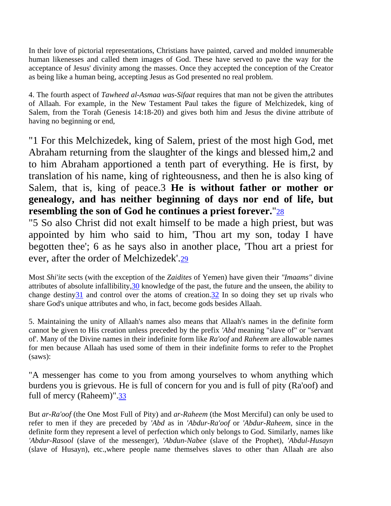In their love of pictorial representations, Christians have painted, carved and molded innumerable human likenesses and called them images of God. These have served to pave the way for the acceptance of Jesus' divinity among the masses. Once they accepted the conception of the Creator as being like a human being, accepting Jesus as God presented no real problem.

4. The fourth aspect of *Tawheed al-Asmaa was-Sifaat* requires that man not be given the attributes of Allaah. For example, in the New Testament Paul takes the figure of Melchizedek, king of Salem, from the Torah (Genesis 14:18-20) and gives both him and Jesus the divine attribute of having no beginning or end,

"1 For this Melchizedek, king of Salem, priest of the most high God, met Abraham returning from the slaughter of the kings and blessed him,2 and to him Abraham apportioned a tenth part of everything. He is first, by translation of his name, king of righteousness, and then he is also king of Salem, that is, king of peace.3 **He is without father or mother or genealogy, and has neither beginning of days nor end of life, but resembling the son of God he continues a priest forever.**"28

"5 So also Christ did not exalt himself to be made a high priest, but was appointed by him who said to him, 'Thou art my son, today I have begotten thee'; 6 as he says also in another place, 'Thou art a priest for ever, after the order of Melchizedek'.29

Most *Shi'ite* sects (with the exception of the *Zaidites* of Yemen) have given their *"Imaams"* divine attributes of absolute infallibility,30 knowledge of the past, the future and the unseen, the ability to change destiny $\frac{31}{2}$  and control over the atoms of creation. $\frac{32}{2}$  In so doing they set up rivals who share God's unique attributes and who, in fact, become gods besides Allaah.

5. Maintaining the unity of Allaah's names also means that Allaah's names in the definite form cannot be given to His creation unless preceded by the prefix *'Abd* meaning "slave of" or "servant of'. Many of the Divine names in their indefinite form like *Ra'oof* and *Raheem* are allowable names for men because Allaah has used some of them in their indefinite forms to refer to the Prophet (saws):

"A messenger has come to you from among yourselves to whom anything which burdens you is grievous. He is full of concern for you and is full of pity (Ra'oof) and full of mercy (Raheem)".33

But *ar-Ra'oof* (the One Most Full of Pity) and *ar-Raheem* (the Most Merciful) can only be used to refer to men if they are preceded by *'Abd* as in *'Abdur-Ra'oof* or *'Abdur-Raheem*, since in the definite form they represent a level of perfection which only belongs to God. Similarly, names like *'Abdur-Rasool* (slave of the messenger), *'Abdun-Nabee* (slave of the Prophet), *'Abdul-Husayn* (slave of Husayn), etc.,where people name themselves slaves to other than Allaah are also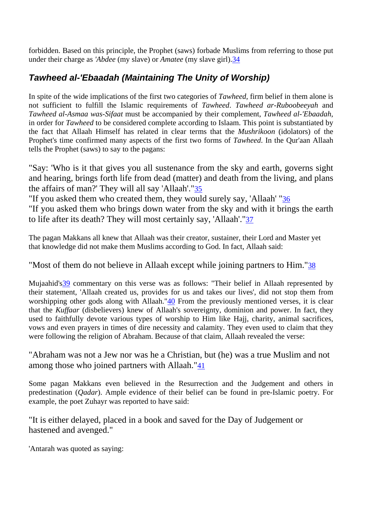forbidden. Based on this principle, the Prophet (saws) forbade Muslims from referring to those put under their charge as *'Abdee* (my slave) or *Amatee* (my slave girl).34

### *Tawheed al-'Ebaadah (Maintaining The Unity of Worship)*

In spite of the wide implications of the first two categories of *Tawheed*, firm belief in them alone is not sufficient to fulfill the Islamic requirements of *Tawheed*. *Tawheed ar-Ruboobeeyah* and *Tawheed al-Asmaa was-Sifaat* must be accompanied by their complement, *Tawheed al-'Ebaadah*, in order for *Tawheed* to be considered complete according to Islaam. This point is substantiated by the fact that Allaah Himself has related in clear terms that the *Mushrikoon* (idolators) of the Prophet's time confirmed many aspects of the first two forms of *Tawheed*. In the Qur'aan Allaah tells the Prophet (saws) to say to the pagans:

"Say: 'Who is it that gives you all sustenance from the sky and earth, governs sight and hearing, brings forth life from dead (matter) and death from the living, and plans the affairs of man?' They will all say 'Allaah'."35

"If you asked them who created them, they would surely say, 'Allaah' "36

"If you asked them who brings down water from the sky and with it brings the earth to life after its death? They will most certainly say, 'Allaah'."37

The pagan Makkans all knew that Allaah was their creator, sustainer, their Lord and Master yet that knowledge did not make them Muslims according to God. In fact, Allaah said:

"Most of them do not believe in Allaah except while joining partners to Him."38

Mujaahid's<sup>39</sup> commentary on this verse was as follows: "Their belief in Allaah represented by their statement, 'Allaah created us, provides for us and takes our lives', did not stop them from worshipping other gods along with Allaah."40 From the previously mentioned verses, it is clear that the *Kuffaar* (disbelievers) knew of Allaah's sovereignty, dominion and power. In fact, they used to faithfully devote various types of worship to Him like Hajj, charity, animal sacrifices, vows and even prayers in times of dire necessity and calamity. They even used to claim that they were following the religion of Abraham. Because of that claim, Allaah revealed the verse:

"Abraham was not a Jew nor was he a Christian, but (he) was a true Muslim and not among those who joined partners with Allaah."41

Some pagan Makkans even believed in the Resurrection and the Judgement and others in predestination (*Qadar*). Ample evidence of their belief can be found in pre-Islamic poetry. For example, the poet Zuhayr was reported to have said:

"It is either delayed, placed in a book and saved for the Day of Judgement or hastened and avenged."

'Antarah was quoted as saying: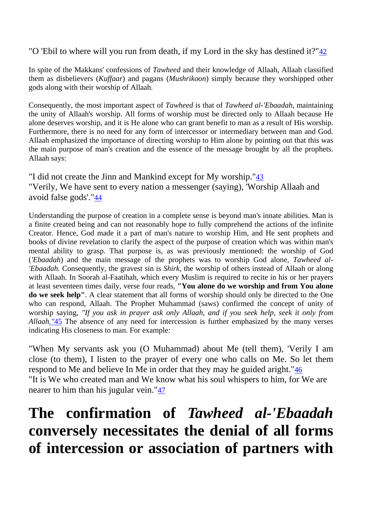"O 'Ebil to where will you run from death, if my Lord in the sky has destined it?"42

In spite of the Makkans' confessions of *Tawheed* and their knowledge of Allaah, Allaah classified them as disbelievers (*Kuffaar*) and pagans (*Mushrikoon*) simply because they worshipped other gods along with their worship of Allaah.

Consequently, the most important aspect of *Tawheed* is that of *Tawheed al-'Ebaadah*, maintaining the unity of Allaah's worship. All forms of worship must be directed only to Allaah because He alone deserves worship, and it is He alone who can grant benefit to man as a result of His worship. Furthermore, there is no need for any form of intercessor or intermediary between man and God. Allaah emphasized the importance of directing worship to Him alone by pointing out that this was the main purpose of man's creation and the essence of the message brought by all the prophets. Allaah says:

"I did not create the Jinn and Mankind except for My worship."<sup>43</sup> "Verily, We have sent to every nation a messenger (saying), 'Worship Allaah and avoid false gods'."44

Understanding the purpose of creation in a complete sense is beyond man's innate abilities. Man is a finite created being and can not reasonably hope to fully comprehend the actions of the infinite Creator. Hence, God made it a part of man's nature to worship Him, and He sent prophets and books of divine revelation to clarify the aspect of the purpose of creation which was within man's mental ability to grasp. That purpose is, as was previously mentioned: the worship of God (*'Ebaadah*) and the main message of the prophets was to worship God alone, *Tawheed al- 'Ebaadah*. Consequently, the gravest sin is *Shirk*, the worship of others instead of Allaah or along with Allaah. In Soorah al-Faatihah, which every Muslim is required to recite in his or her prayers at least seventeen times daily, verse four reads, **"You alone do we worship and from You alone do we seek help"**. A clear statement that all forms of worship should only be directed to the One who can respond, Allaah. The Prophet Muhammad (saws) confirmed the concept of unity of worship saying, *"If you ask in prayer ask only Allaah, and if you seek help, seek it only from Allaah."*45 The absence of any need for intercession is further emphasized by the many verses indicating His closeness to man. For example:

"When My servants ask you (O Muhammad) about Me (tell them), 'Verily I am close (to them), I listen to the prayer of every one who calls on Me. So let them respond to Me and believe In Me in order that they may he guided aright."46 "It is We who created man and We know what his soul whispers to him, for We are nearer to him than his jugular vein."47

# **The confirmation of** *Tawheed al-'Ebaadah* **conversely necessitates the denial of all forms of intercession or association of partners with**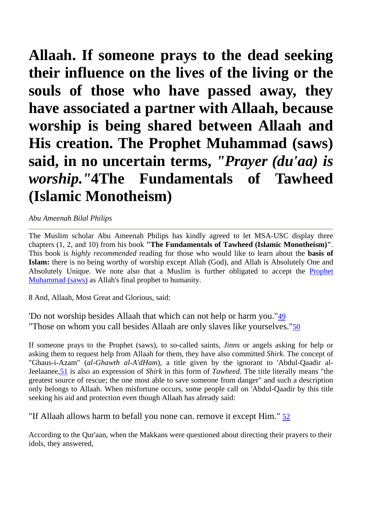**Allaah. If someone prays to the dead seeking their influence on the lives of the living or the souls of those who have passed away, they have associated a partner with Allaah, because worship is being shared between Allaah and His creation. The Prophet Muhammad (saws) said, in no uncertain terms,** *"Prayer (du'aa) is worship."***4The Fundamentals of Tawheed (Islamic Monotheism)** 

#### *Abu Ameenah Bilal Philips*

The Muslim scholar Abu Ameenah Philips has kindly agreed to let MSA-USC display three chapters (1, 2, and 10) from his book **"The Fundamentals of Tawheed (Islamic Monotheism)"**. This book is *highly recommended* reading for those who would like to learn about the **basis of Islam:** there is no being worthy of worship except Allah (God), and Allah is Absolutely One and Absolutely Unique. We note also that a Muslim is further obligated to accept the Prophet Muhammad (saws) as Allah's final prophet to humanity.

8 And, Allaah, Most Great and Glorious, said:

'Do not worship besides Allaah that which can not help or harm you."49 "Those on whom you call besides Allaah are only slaves like yourselves."50

If someone prays to the Prophet (saws), to so-called saints, *Jinns* or angels asking for help or asking them to request help from Allaah for them, they have also committed *Shirk*. The concept of "Ghaus-i-Azam" (*al-Ghawth al-A'dHam*), a title given by the ignorant to 'Abdul-Qaadir al-Jeelaanee,51 is also an expression of *Shirk* in this form of *Tawheed*. The title literally means "the greatest source of rescue; the one most able to save someone from danger" and such a description only belongs to Allaah. When misfortune occurs, some people call on 'Abdul-Qaadir by this title seeking his aid and protection even though Allaah has already said:

"If Allaah allows harm to befall you none can. remove it except Him." 52

According to the Qur'aan, when the Makkans were questioned about directing their prayers to their idols, they answered,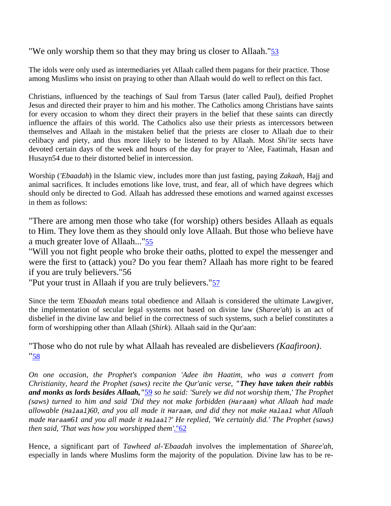"We only worship them so that they may bring us closer to Allaah."53

The idols were only used as intermediaries yet Allaah called them pagans for their practice. Those among Muslims who insist on praying to other than Allaah would do well to reflect on this fact.

Christians, influenced by the teachings of Saul from Tarsus (later called Paul), deified Prophet Jesus and directed their prayer to him and his mother. The Catholics among Christians have saints for every occasion to whom they direct their prayers in the belief that these saints can directly influence the affairs of this world. The Catholics also use their priests as intercessors between themselves and Allaah in the mistaken belief that the priests are closer to Allaah due to their celibacy and piety, and thus more likely to be listened to by Allaah. Most *Shi'ite* sects have devoted certain days of the week and hours of the day for prayer to 'Alee, Faatimah, Hasan and Husayn54 due to their distorted belief in intercession.

Worship (*'Ebaadah*) in the Islamic view, includes more than just fasting, paying *Zakaah*, Hajj and animal sacrifices. It includes emotions like love, trust, and fear, all of which have degrees which should only be directed to God. Allaah has addressed these emotions and warned against excesses in them as follows:

"There are among men those who take (for worship) others besides Allaah as equals to Him. They love them as they should only love Allaah. But those who believe have a much greater love of Allaah..."<sup>55</sup>

"Will you not fight people who broke their oaths, plotted to expel the messenger and were the first to (attack) you? Do you fear them? Allaah has more right to be feared if you are truly believers."56

"Put your trust in Allaah if you are truly believers."57

Since the term *'Ebaadah* means total obedience and Allaah is considered the ultimate Lawgiver, the implementation of secular legal systems not based on divine law (*Sharee'ah*) is an act of disbelief in the divine law and belief in the correctness of such systems, such a belief constitutes a form of worshipping other than Allaah (*Shirk*). Allaah said in the Qur'aan:

"Those who do not rule by what Allaah has revealed are disbelievers *(Kaafiroon)*. "58

*On one occasion, the Prophet's companion 'Adee ibn Haatim, who was a convert from Christianity, heard the Prophet (saws) recite the Qur'anic verse, "They have taken their rabbis and monks as lords besides Allaah,"*59 *so he said: 'Surely we did not worship them,' The Prophet (saws) turned to him and said 'Did they not make forbidden (Haraam) what Allaah had made allowable (Halaal)60, and you all made it Haraam, and did they not make Halaal what Allaah made Haraam61 and you all made it Halaal?' He replied, 'We certainly did.' The Prophet (saws) then said, 'That was how you worshipped them'*."62

Hence, a significant part of *Tawheed al-'Ebaadah* involves the implementation of *Sharee'ah*, especially in lands where Muslims form the majority of the population. Divine law has to be re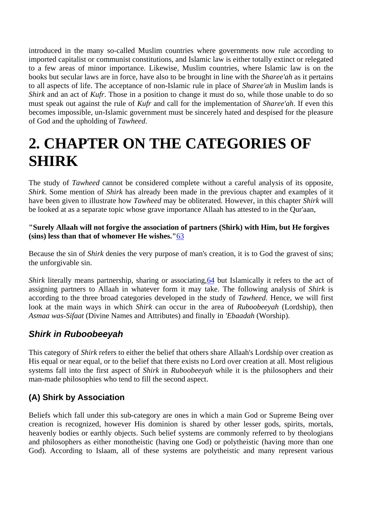introduced in the many so-called Muslim countries where governments now rule according to imported capitalist or communist constitutions, and Islamic law is either totally extinct or relegated to a few areas of minor importance. Likewise, Muslim countries, where Islamic law is on the books but secular laws are in force, have also to be brought in line with the *Sharee'ah* as it pertains to all aspects of life. The acceptance of non-Islamic rule in place of *Sharee'ah* in Muslim lands is *Shirk* and an act of *Kufr*. Those in a position to change it must do so, while those unable to do so must speak out against the rule of *Kufr* and call for the implementation of *Sharee'ah*. If even this becomes impossible, un-Islamic government must be sincerely hated and despised for the pleasure of God and the upholding of *Tawheed*.

# **2. CHAPTER ON THE CATEGORIES OF SHIRK**

The study of *Tawheed* cannot be considered complete without a careful analysis of its opposite, *Shirk*. Some mention of *Shirk* has already been made in the previous chapter and examples of it have been given to illustrate how *Tawheed* may be obliterated. However, in this chapter *Shirk* will be looked at as a separate topic whose grave importance Allaah has attested to in the Qur'aan,

#### **"Surely Allaah will not forgive the association of partners (Shirk) with Him, but He forgives (sins) less than that of whomever He wishes."**63

Because the sin of *Shirk* denies the very purpose of man's creation, it is to God the gravest of sins; the unforgivable sin.

*Shirk* literally means partnership, sharing or associating, 64 but Islamically it refers to the act of assigning partners to Allaah in whatever form it may take. The following analysis of *Shirk* is according to the three broad categories developed in the study of *Tawheed*. Hence, we will first look at the main ways in which *Shirk* can occur in the area of *Ruboobeeyah* (Lordship), then *Asmaa was-Sifaat* (Divine Names and Attributes) and finally in *'Ebaadah* (Worship).

## *Shirk in Ruboobeeyah*

This category of *Shirk* refers to either the belief that others share Allaah's Lordship over creation as His equal or near equal, or to the belief that there exists no Lord over creation at all. Most religious systems fall into the first aspect of *Shirk* in *Ruboobeeyah* while it is the philosophers and their man-made philosophies who tend to fill the second aspect.

#### **(A) Shirk by Association**

Beliefs which fall under this sub-category are ones in which a main God or Supreme Being over creation is recognized, however His dominion is shared by other lesser gods, spirits, mortals, heavenly bodies or earthly objects. Such belief systems are commonly referred to by theologians and philosophers as either monotheistic (having one God) or polytheistic (having more than one God). According to Islaam, all of these systems are polytheistic and many represent various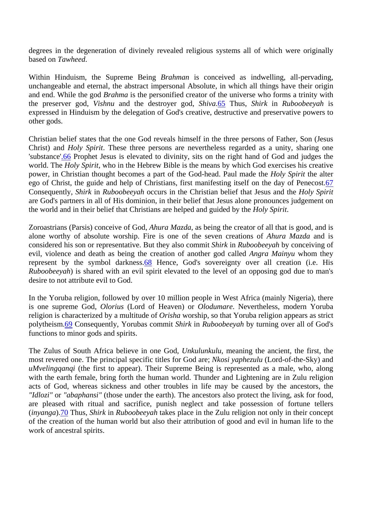degrees in the degeneration of divinely revealed religious systems all of which were originally based on *Tawheed*.

Within Hinduism, the Supreme Being *Brahman* is conceived as indwelling, all-pervading, unchangeable and eternal, the abstract impersonal Absolute, in which all things have their origin and end. While the god *Brahma* is the personified creator of the universe who forms a trinity with the preserver god, *Vishnu* and the destroyer god, *Shiva*.65 Thus, *Shirk* in *Ruboobeeyah* is expressed in Hinduism by the delegation of God's creative, destructive and preservative powers to other gods.

Christian belief states that the one God reveals himself in the three persons of Father, Son (Jesus Christ) and *Holy Spirit*. These three persons are nevertheless regarded as a unity, sharing one 'substance'.66 Prophet Jesus is elevated to divinity, sits on the right hand of God and judges the world. The *Holy Spirit*, who in the Hebrew Bible is the means by which God exercises his creative power, in Christian thought becomes a part of the God-head. Paul made the *Holy Spirit* the alter ego of Christ, the guide and help of Christians, first manifesting itself on the day of Penecost.67 Consequently, *Shirk* in *Ruboobeeyah* occurs in the Christian belief that Jesus and the *Holy Spirit* are God's partners in all of His dominion, in their belief that Jesus alone pronounces judgement on the world and in their belief that Christians are helped and guided by the *Holy Spirit*.

Zoroastrians (Parsis) conceive of God, *Ahura Mazda*, as being the creator of all that is good, and is alone worthy of absolute worship. Fire is one of the seven creations of *Ahura Mazda* and is considered his son or representative. But they also commit *Shirk* in *Ruboobeeyah* by conceiving of evil, violence and death as being the creation of another god called *Angra Mainyu* whom they represent by the symbol darkness. 68 Hence, God's sovereignty over all creation (i.e. His *Ruboobeeyah*) is shared with an evil spirit elevated to the level of an opposing god due to man's desire to not attribute evil to God.

In the Yoruba religion, followed by over 10 million people in West Africa (mainly Nigeria), there is one supreme God, *Olorius* (Lord of Heaven) or *Olodumare*. Nevertheless, modern Yoruba religion is characterized by a multitude of *Orisha* worship, so that Yoruba religion appears as strict polytheism.69 Consequently, Yorubas commit *Shirk* in *Ruboobeeyah* by turning over all of God's functions to minor gods and spirits.

The Zulus of South Africa believe in one God, *Unkulunkulu*, meaning the ancient, the first, the most revered one. The principal specific titles for God are; *Nkosi yaphezulu* (Lord-of-the-Sky) and *uMvelingqanqi* (the first to appear). Their Supreme Being is represented as a male, who, along with the earth female, bring forth the human world. Thunder and Lightening are in Zulu religion acts of God, whereas sickness and other troubles in life may be caused by the ancestors, the *"Idlozi"* or *"abaphansi"* (those under the earth). The ancestors also protect the living, ask for food, are pleased with ritual and sacrifice, punish neglect and take possession of fortune tellers (*inyanga*).70 Thus, *Shirk* in *Ruboobeeyah* takes place in the Zulu religion not only in their concept of the creation of the human world but also their attribution of good and evil in human life to the work of ancestral spirits.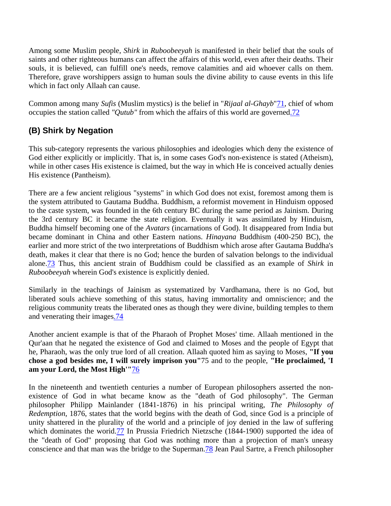Among some Muslim people, *Shirk* in *Ruboobeeyah* is manifested in their belief that the souls of saints and other righteous humans can affect the affairs of this world, even after their deaths. Their souls, it is believed, can fulfill one's needs, remove calamities and aid whoever calls on them. Therefore, grave worshippers assign to human souls the divine ability to cause events in this life which in fact only Allaah can cause.

Common among many *Sufis* (Muslim mystics) is the belief in "*Rijaal al-Ghayb*"71, chief of whom occupies the station called *"Qutub"* from which the affairs of this world are governed.72

#### **(B) Shirk by Negation**

This sub-category represents the various philosophies and ideologies which deny the existence of God either explicitly or implicitly. That is, in some cases God's non-existence is stated (Atheism), while in other cases His existence is claimed, but the way in which He is conceived actually denies His existence (Pantheism).

There are a few ancient religious "systems" in which God does not exist, foremost among them is the system attributed to Gautama Buddha. Buddhism, a reformist movement in Hinduism opposed to the caste system, was founded in the 6th century BC during the same period as Jainism. During the 3rd century BC it became the state religion. Eventually it was assimilated by Hinduism, Buddha himself becoming one of the *Avatars* (incarnations of God). It disappeared from India but became dominant in China and other Eastern nations. *Hinayana* Buddhism (400-250 BC), the earlier and more strict of the two interpretations of Buddhism which arose after Gautama Buddha's death, makes it clear that there is no God; hence the burden of salvation belongs to the individual alone.73 Thus, this ancient strain of Buddhism could be classified as an example of *Shirk* in *Ruboobeeyah* wherein God's existence is explicitly denied.

Similarly in the teachings of Jainism as systematized by Vardhamana, there is no God, but liberated souls achieve something of this status, having immortality and omniscience; and the religious community treats the liberated ones as though they were divine, building temples to them and venerating their images.74

Another ancient example is that of the Pharaoh of Prophet Moses' time. Allaah mentioned in the Qur'aan that he negated the existence of God and claimed to Moses and the people of Egypt that he, Pharaoh, was the only true lord of all creation. Allaah quoted him as saying to Moses, **"If you chose a god besides me, I will surely imprison you"**75 and to the people, **"He proclaimed, 'I am your Lord, the Most High'"**76

In the nineteenth and twentieth centuries a number of European philosophers asserted the nonexistence of God in what became know as the "death of God philosophy". The German philosopher Philipp Mainlander (1841-1876) in his principal writing, *The Philosophy of Redemption*, 1876, states that the world begins with the death of God, since God is a principle of unity shattered in the plurality of the world and a principle of joy denied in the law of suffering which dominates the worid.77 In Prussia Friedrich Nietzsche (1844-1900) supported the idea of the "death of God" proposing that God was nothing more than a projection of man's uneasy conscience and that man was the bridge to the Superman.78 Jean Paul Sartre, a French philosopher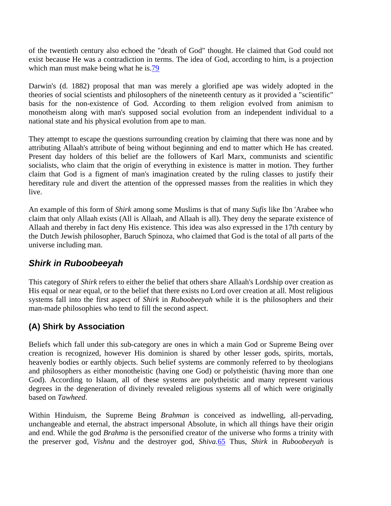of the twentieth century also echoed the "death of God" thought. He claimed that God could not exist because He was a contradiction in terms. The idea of God, according to him, is a projection which man must make being what he is.79

Darwin's (d. 1882) proposal that man was merely a glorified ape was widely adopted in the theories of social scientists and philosophers of the nineteenth century as it provided a "scientific" basis for the non-existence of God. According to them religion evolved from animism to monotheism along with man's supposed social evolution from an independent individual to a national state and his physical evolution from ape to man.

They attempt to escape the questions surrounding creation by claiming that there was none and by attributing Allaah's attribute of being without beginning and end to matter which He has created. Present day holders of this belief are the followers of Karl Marx, communists and scientific socialists, who claim that the origin of everything in existence is matter in motion. They further claim that God is a figment of man's imagination created by the ruling classes to justify their hereditary rule and divert the attention of the oppressed masses from the realities in which they live.

An example of this form of *Shirk* among some Muslims is that of many *Sufis* like Ibn 'Arabee who claim that only Allaah exists (All is Allaah, and Allaah is all). They deny the separate existence of Allaah and thereby in fact deny His existence. This idea was also expressed in the 17th century by the Dutch Jewish philosopher, Baruch Spinoza, who claimed that God is the total of all parts of the universe including man.

#### *Shirk in Ruboobeeyah*

This category of *Shirk* refers to either the belief that others share Allaah's Lordship over creation as His equal or near equal, or to the belief that there exists no Lord over creation at all. Most religious systems fall into the first aspect of *Shirk* in *Ruboobeeyah* while it is the philosophers and their man-made philosophies who tend to fill the second aspect.

#### **(A) Shirk by Association**

Beliefs which fall under this sub-category are ones in which a main God or Supreme Being over creation is recognized, however His dominion is shared by other lesser gods, spirits, mortals, heavenly bodies or earthly objects. Such belief systems are commonly referred to by theologians and philosophers as either monotheistic (having one God) or polytheistic (having more than one God). According to Islaam, all of these systems are polytheistic and many represent various degrees in the degeneration of divinely revealed religious systems all of which were originally based on *Tawheed*.

Within Hinduism, the Supreme Being *Brahman* is conceived as indwelling, all-pervading, unchangeable and eternal, the abstract impersonal Absolute, in which all things have their origin and end. While the god *Brahma* is the personified creator of the universe who forms a trinity with the preserver god, *Vishnu* and the destroyer god, *Shiva*.65 Thus, *Shirk* in *Ruboobeeyah* is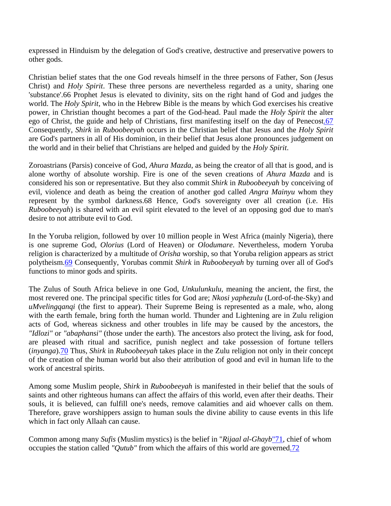expressed in Hinduism by the delegation of God's creative, destructive and preservative powers to other gods.

Christian belief states that the one God reveals himself in the three persons of Father, Son (Jesus Christ) and *Holy Spirit*. These three persons are nevertheless regarded as a unity, sharing one 'substance'.66 Prophet Jesus is elevated to divinity, sits on the right hand of God and judges the world. The *Holy Spirit*, who in the Hebrew Bible is the means by which God exercises his creative power, in Christian thought becomes a part of the God-head. Paul made the *Holy Spirit* the alter ego of Christ, the guide and help of Christians, first manifesting itself on the day of Penecost.67 Consequently, *Shirk* in *Ruboobeeyah* occurs in the Christian belief that Jesus and the *Holy Spirit* are God's partners in all of His dominion, in their belief that Jesus alone pronounces judgement on the world and in their belief that Christians are helped and guided by the *Holy Spirit*.

Zoroastrians (Parsis) conceive of God, *Ahura Mazda*, as being the creator of all that is good, and is alone worthy of absolute worship. Fire is one of the seven creations of *Ahura Mazda* and is considered his son or representative. But they also commit *Shirk* in *Ruboobeeyah* by conceiving of evil, violence and death as being the creation of another god called *Angra Mainyu* whom they represent by the symbol darkness.68 Hence, God's sovereignty over all creation (i.e. His *Ruboobeeyah*) is shared with an evil spirit elevated to the level of an opposing god due to man's desire to not attribute evil to God.

In the Yoruba religion, followed by over 10 million people in West Africa (mainly Nigeria), there is one supreme God, *Olorius* (Lord of Heaven) or *Olodumare*. Nevertheless, modern Yoruba religion is characterized by a multitude of *Orisha* worship, so that Yoruba religion appears as strict polytheism.69 Consequently, Yorubas commit *Shirk* in *Ruboobeeyah* by turning over all of God's functions to minor gods and spirits.

The Zulus of South Africa believe in one God, *Unkulunkulu*, meaning the ancient, the first, the most revered one. The principal specific titles for God are; *Nkosi yaphezulu* (Lord-of-the-Sky) and *uMvelingqanqi* (the first to appear). Their Supreme Being is represented as a male, who, along with the earth female, bring forth the human world. Thunder and Lightening are in Zulu religion acts of God, whereas sickness and other troubles in life may be caused by the ancestors, the *"Idlozi"* or *"abaphansi"* (those under the earth). The ancestors also protect the living, ask for food, are pleased with ritual and sacrifice, punish neglect and take possession of fortune tellers (*inyanga*).70 Thus, *Shirk* in *Ruboobeeyah* takes place in the Zulu religion not only in their concept of the creation of the human world but also their attribution of good and evil in human life to the work of ancestral spirits.

Among some Muslim people, *Shirk* in *Ruboobeeyah* is manifested in their belief that the souls of saints and other righteous humans can affect the affairs of this world, even after their deaths. Their souls, it is believed, can fulfill one's needs, remove calamities and aid whoever calls on them. Therefore, grave worshippers assign to human souls the divine ability to cause events in this life which in fact only Allaah can cause.

Common among many *Sufis* (Muslim mystics) is the belief in "*Rijaal al-Ghayb*"71, chief of whom occupies the station called *"Qutub"* from which the affairs of this world are governed.72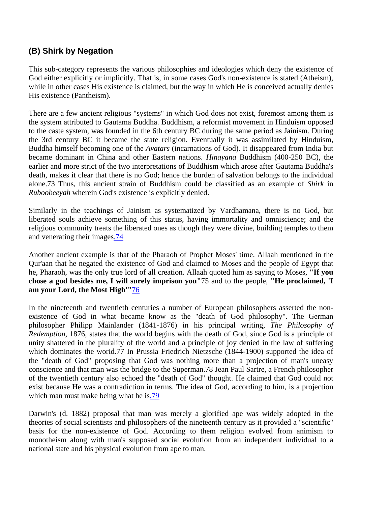#### **(B) Shirk by Negation**

This sub-category represents the various philosophies and ideologies which deny the existence of God either explicitly or implicitly. That is, in some cases God's non-existence is stated (Atheism), while in other cases His existence is claimed, but the way in which He is conceived actually denies His existence (Pantheism).

There are a few ancient religious "systems" in which God does not exist, foremost among them is the system attributed to Gautama Buddha. Buddhism, a reformist movement in Hinduism opposed to the caste system, was founded in the 6th century BC during the same period as Jainism. During the 3rd century BC it became the state religion. Eventually it was assimilated by Hinduism, Buddha himself becoming one of the *Avatars* (incarnations of God). It disappeared from India but became dominant in China and other Eastern nations. *Hinayana* Buddhism (400-250 BC), the earlier and more strict of the two interpretations of Buddhism which arose after Gautama Buddha's death, makes it clear that there is no God; hence the burden of salvation belongs to the individual alone.73 Thus, this ancient strain of Buddhism could be classified as an example of *Shirk* in *Ruboobeeyah* wherein God's existence is explicitly denied.

Similarly in the teachings of Jainism as systematized by Vardhamana, there is no God, but liberated souls achieve something of this status, having immortality and omniscience; and the religious community treats the liberated ones as though they were divine, building temples to them and venerating their images.74

Another ancient example is that of the Pharaoh of Prophet Moses' time. Allaah mentioned in the Qur'aan that he negated the existence of God and claimed to Moses and the people of Egypt that he, Pharaoh, was the only true lord of all creation. Allaah quoted him as saying to Moses, **"If you chose a god besides me, I will surely imprison you"**75 and to the people, **"He proclaimed, 'I am your Lord, the Most High'"**76

In the nineteenth and twentieth centuries a number of European philosophers asserted the nonexistence of God in what became know as the "death of God philosophy". The German philosopher Philipp Mainlander (1841-1876) in his principal writing, *The Philosophy of Redemption*, 1876, states that the world begins with the death of God, since God is a principle of unity shattered in the plurality of the world and a principle of joy denied in the law of suffering which dominates the worid.77 In Prussia Friedrich Nietzsche (1844-1900) supported the idea of the "death of God" proposing that God was nothing more than a projection of man's uneasy conscience and that man was the bridge to the Superman.78 Jean Paul Sartre, a French philosopher of the twentieth century also echoed the "death of God" thought. He claimed that God could not exist because He was a contradiction in terms. The idea of God, according to him, is a projection which man must make being what he is.79

Darwin's (d. 1882) proposal that man was merely a glorified ape was widely adopted in the theories of social scientists and philosophers of the nineteenth century as it provided a "scientific" basis for the non-existence of God. According to them religion evolved from animism to monotheism along with man's supposed social evolution from an independent individual to a national state and his physical evolution from ape to man.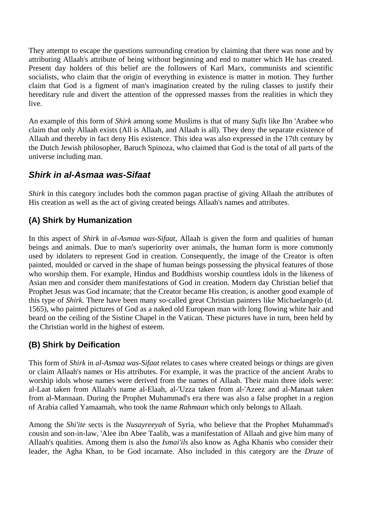They attempt to escape the questions surrounding creation by claiming that there was none and by attributing Allaah's attribute of being without beginning and end to matter which He has created. Present day holders of this belief are the followers of Karl Marx, communists and scientific socialists, who claim that the origin of everything in existence is matter in motion. They further claim that God is a figment of man's imagination created by the ruling classes to justify their hereditary rule and divert the attention of the oppressed masses from the realities in which they live.

An example of this form of *Shirk* among some Muslims is that of many *Sufis* like Ibn 'Arabee who claim that only Allaah exists (All is Allaah, and Allaah is all). They deny the separate existence of Allaah and thereby in fact deny His existence. This idea was also expressed in the 17th century by the Dutch Jewish philosopher, Baruch Spinoza, who claimed that God is the total of all parts of the universe including man.

#### *Shirk in al-Asmaa was-Sifaat*

*Shirk* in this category includes both the common pagan practise of giving Allaah the attributes of His creation as well as the act of giving created beings Allaah's names and attributes.

#### **(A) Shirk by Humanization**

In this aspect of *Shirk* in *al-Asmaa was-Sifaat*, Allaah is given the form and qualities of human beings and animals. Due to man's superiority over animals, the human form is more commonly used by idolaters to represent God in creation. Consequently, the image of the Creator is often painted, moulded or carved in the shape of human beings possessing the physical features of those who worship them. For example, Hindus and Buddhists worship countless idols in the likeness of Asian men and consider them manifestations of God in creation. Modern day Christian belief that Prophet Jesus was God incarnate; that the Creator became His creation, is another good example of this type of *Shirk*. There have been many so-called great Christian painters like Michaelangelo (d. 1565), who painted pictures of God as a naked old European man with long flowing white hair and beard on the ceiling of the Sistine Chapel in the Vatican. These pictures have in turn, been held by the Christian world in the highest of esteem.

#### **(B) Shirk by Deification**

This form of *Shirk* in *al-Asmaa was-Sifaat* relates to cases where created beings or things are given or claim Allaah's names or His attributes. For example, it was the practice of the ancient Arabs to worship idols whose names were derived from the names of Allaah. Their main three idols were: al-Laat taken from Allaah's name al-Elaah, al-'Uzza taken from al-'Azeez and al-Manaat taken from al-Mannaan. During the Prophet Muhammad's era there was also a false prophet in a region of Arabia called Yamaamah, who took the name *Rahmaan* which only belongs to Allaah.

Among the *Shi'ite* sects is the *Nusayreeyah* of Syria, who believe that the Prophet Muhammad's cousin and son-in-law, 'Alee ibn Abee Taalib, was a manifestation of Allaah and give him many of Allaah's qualities. Among them is also the *Ismai'ils* also know as Agha Khanis who consider their leader, the Agha Khan, to be God incarnate. Also included in this category are the *Druze* of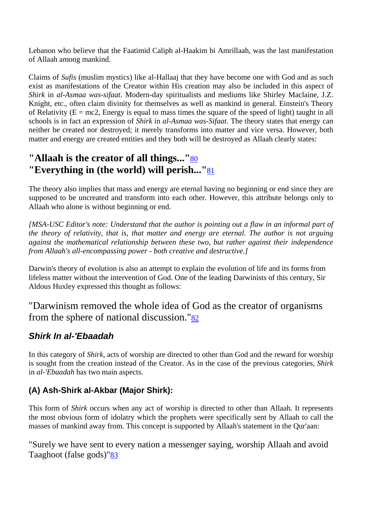Lebanon who believe that the Faatimid Caliph al-Haakim bi Amrillaah, was the last manifestation of Allaah among mankind.

Claims of *Sufis* (muslim mystics) like al-Hallaaj that they have become one with God and as such exist as manifestations of the Creator within His creation may also be included in this aspect of *Shirk* in *al-Asmaa was-sifaat*. Modern-day spiritualists and mediums like Shirley Maclaine, J.Z. Knight, etc., often claim divinity for themselves as well as mankind in general. Einstein's Theory of Relativity ( $E = mc2$ , Energy is equal to mass times the square of the speed of light) taught in all schools is in fact an expression of *Shirk* in *al-Asmaa was-Sifaat*. The theory states that energy can neither be created nor destroyed; it merely transforms into matter and vice versa. However, both matter and energy are created entities and they both will be destroyed as Allaah clearly states:

## **"Allaah is the creator of all things..."**80 **"Everything in (the world) will perish..."**81

The theory also implies that mass and energy are eternal having no beginning or end since they are supposed to be uncreated and transform into each other. However, this attribute belongs only to Allaah who alone is without beginning or end.

*[MSA-USC Editor's note: Understand that the author is pointing out a flaw in an informal part of the theory of relativity, that is, that matter and energy are eternal. The author is not arguing against the mathematical relationship between these two, but rather against their independence from Allaah's all-encompassing power - both creative and destructive.]* 

Darwin's theory of evolution is also an attempt to explain the evolution of life and its forms from lifeless matter without the intervention of God. One of the leading Darwinists of this century, Sir Aldous Huxley expressed this thought as follows:

"Darwinism removed the whole idea of God as the creator of organisms from the sphere of national discussion." $82$ 

#### *Shirk In al-'Ebaadah*

In this category of *Shirk*, acts of worship are directed to other than God and the reward for worship is sought from the creation instead of the Creator. As in the case of the previous categories, *Shirk* in *al-'Ebaadah* has two main aspects.

#### **(A) Ash-Shirk al-Akbar (Major Shirk):**

This form of *Shirk* occurs when any act of worship is directed to other than Allaah. It represents the most obvious form of idolatry which the prophets were specifically sent by Allaah to call the masses of mankind away from. This concept is supported by Allaah's statement in the Qur'aan:

"Surely we have sent to every nation a messenger saying, worship Allaah and avoid Taaghoot (false gods)"83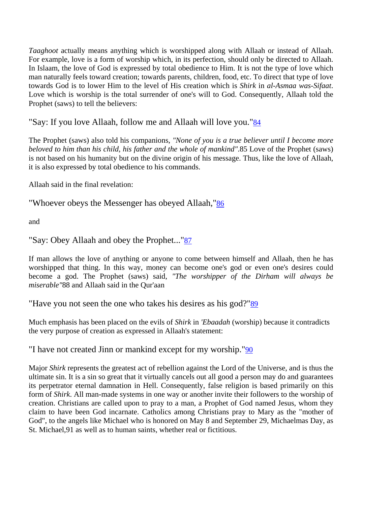*Taaghoot* actually means anything which is worshipped along with Allaah or instead of Allaah. For example, love is a form of worship which, in its perfection, should only be directed to Allaah. In Islaam, the love of God is expressed by total obedience to Him. It is not the type of love which man naturally feels toward creation; towards parents, children, food, etc. To direct that type of love towards God is to lower Him to the level of His creation which is *Shirk* in *al-Asmaa was-Sifaat*. Love which is worship is the total surrender of one's will to God. Consequently, Allaah told the Prophet (saws) to tell the believers:

"Say: If you love Allaah, follow me and Allaah will love you."84

The Prophet (saws) also told his companions, *"None of you is a true believer until I become more beloved to him than his child, his father and the whole of mankind"*.85 Love of the Prophet (saws) is not based on his humanity but on the divine origin of his message. Thus, like the love of Allaah, it is also expressed by total obedience to his commands.

Allaah said in the final revelation:

"Whoever obeys the Messenger has obeyed Allaah,"86

and

```
"Say: Obey Allaah and obey the Prophet..."87
```
If man allows the love of anything or anyone to come between himself and Allaah, then he has worshipped that thing. In this way, money can become one's god or even one's desires could become a god. The Prophet (saws) said, *"The worshipper of the Dirham will always be miserable"*88 and Allaah said in the Qur'aan

"Have you not seen the one who takes his desires as his god?"89

Much emphasis has been placed on the evils of *Shirk* in *'Ebaadah* (worship) because it contradicts the very purpose of creation as expressed in Allaah's statement:

"I have not created Jinn or mankind except for my worship."90

Major *Shirk* represents the greatest act of rebellion against the Lord of the Universe, and is thus the ultimate sin. It is a sin so great that it virtually cancels out all good a person may do and guarantees its perpetrator eternal damnation in Hell. Consequently, false religion is based primarily on this form of *Shirk*. All man-made systems in one way or another invite their followers to the worship of creation. Christians are called upon to pray to a man, a Prophet of God named Jesus, whom they claim to have been God incarnate. Catholics among Christians pray to Mary as the "mother of God", to the angels like Michael who is honored on May 8 and September 29, Michaelmas Day, as St. Michael,91 as well as to human saints, whether real or fictitious.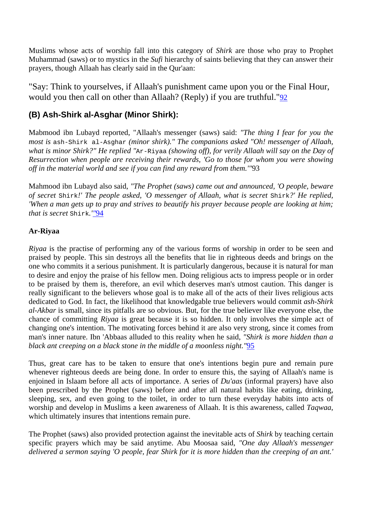Muslims whose acts of worship fall into this category of *Shirk* are those who pray to Prophet Muhammad (saws) or to mystics in the *Sufi* hierarchy of saints believing that they can answer their prayers, though Allaah has clearly said in the Qur'aan:

"Say: Think to yourselves, if Allaah's punishment came upon you or the Final Hour, would you then call on other than Allaah? (Reply) if you are truthful."92

#### **(B) Ash-Shirk al-Asghar (Minor Shirk):**

Mabmood ibn Lubayd reported, "Allaah's messenger (saws) said: *"The thing I fear for you the most is* ash-Shirk al-Asghar *(minor shirk)." The companions asked "Oh! messenger of Allaah, what is minor Shirk?" He replied "*Ar-Riyaa *(showing off), for verily Allaah will say on the Day of Resurrection when people are receiving their rewards, 'Go to those for whom you were showing off in the material world and see if you can find any reward from them.'"*93

Mahmood ibn Lubayd also said, *"The Prophet (saws) came out and announced, 'O people, beware of secret* Shirk*!' The people asked, 'O messenger of Allaah, what is secret* Shirk*?' He replied, 'When a man gets up to pray and strives to beautify his prayer because people are looking at him; that is secret* Shirk*.'"*94

#### **Ar-Riyaa**

*Riyaa* is the practise of performing any of the various forms of worship in order to be seen and praised by people. This sin destroys all the benefits that lie in righteous deeds and brings on the one who commits it a serious punishment. It is particularly dangerous, because it is natural for man to desire and enjoy the praise of his fellow men. Doing religious acts to impress people or in order to be praised by them is, therefore, an evil which deserves man's utmost caution. This danger is really significant to the believers whose goal is to make all of the acts of their lives religious acts dedicated to God. In fact, the likelihood that knowledgable true believers would commit *ash-Shirk al-Akbar* is small, since its pitfalls are so obvious. But, for the true believer like everyone else, the chance of committing *Riyaa* is great because it is so hidden. It only involves the simple act of changing one's intention. The motivating forces behind it are also very strong, since it comes from man's inner nature. Ibn 'Abbaas alluded to this reality when he said, *"Shirk is more hidden than a black ant creeping on a black stone in the middle of a moonless night."*95

Thus, great care has to be taken to ensure that one's intentions begin pure and remain pure whenever righteous deeds are being done. In order to ensure this, the saying of Allaah's name is enjoined in Islaam before all acts of importance. A series of *Du'aas* (informal prayers) have also been prescribed by the Prophet (saws) before and after all natural habits like eating, drinking, sleeping, sex, and even going to the toilet, in order to turn these everyday habits into acts of worship and develop in Muslims a keen awareness of Allaah. It is this awareness, called *Taqwaa*, which ultimately insures that intentions remain pure.

The Prophet (saws) also provided protection against the inevitable acts of *Shirk* by teaching certain specific prayers which may be said anytime. Abu Moosaa said, *"One day Allaah's messenger delivered a sermon saying 'O people, fear Shirk for it is more hidden than the creeping of an ant.'*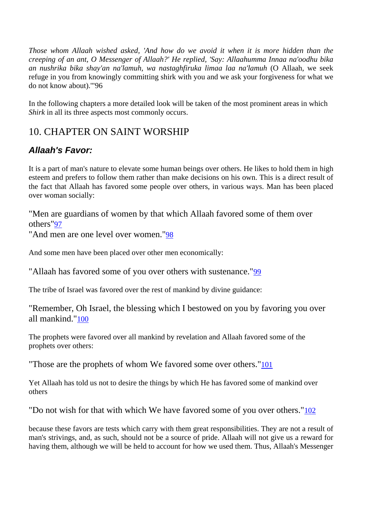*Those whom Allaah wished asked, 'And how do we avoid it when it is more hidden than the creeping of an ant, O Messenger of Allaah?' He replied, 'Say: Allaahumma Innaa na'oodhu bika an nushrika bika shay'an na'lamuh, wa nastaghfiruka limaa laa na'lamuh* (O Allaah, we seek refuge in you from knowingly committing shirk with you and we ask your forgiveness for what we do not know about).'"96

In the following chapters a more detailed look will be taken of the most prominent areas in which *Shirk* in all its three aspects most commonly occurs.

## 10. CHAPTER ON SAINT WORSHIP

## *Allaah's Favor:*

It is a part of man's nature to elevate some human beings over others. He likes to hold them in high esteem and prefers to follow them rather than make decisions on his own. This is a direct result of the fact that Allaah has favored some people over others, in various ways. Man has been placed over woman socially:

"Men are guardians of women by that which Allaah favored some of them over others"97

"And men are one level over women."98

And some men have been placed over other men economically:

"Allaah has favored some of you over others with sustenance."99

The tribe of Israel was favored over the rest of mankind by divine guidance:

"Remember, Oh Israel, the blessing which I bestowed on you by favoring you over all mankind."100

The prophets were favored over all mankind by revelation and Allaah favored some of the prophets over others:

"Those are the prophets of whom We favored some over others."101

Yet Allaah has told us not to desire the things by which He has favored some of mankind over others

"Do not wish for that with which We have favored some of you over others."102

because these favors are tests which carry with them great responsibilities. They are not a result of man's strivings, and, as such, should not be a source of pride. Allaah will not give us a reward for having them, although we will be held to account for how we used them. Thus, Allaah's Messenger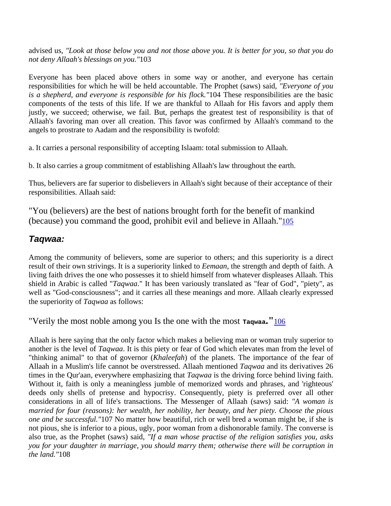advised us, *"Look at those below you and not those above you. It is better for you, so that you do not deny Allaah's blessings on you."*103

Everyone has been placed above others in some way or another, and everyone has certain responsibilities for which he will be held accountable. The Prophet (saws) said, *"Everyone of you is a shepherd, and everyone is responsible for his flock."*104 These responsibilities are the basic components of the tests of this life. If we are thankful to Allaah for His favors and apply them justly, we succeed; otherwise, we fail. But, perhaps the greatest test of responsibility is that of Allaah's favoring man over all creation. This favor was confirmed by Allaah's command to the angels to prostrate to Aadam and the responsibility is twofold:

a. It carries a personal responsibility of accepting Islaam: total submission to Allaah.

b. It also carries a group commitment of establishing Allaah's law throughout the earth.

Thus, believers are far superior to disbelievers in Allaah's sight because of their acceptance of their responsibilities. Allaah said:

"You (believers) are the best of nations brought forth for the benefit of mankind (because) you command the good, prohibit evil and believe in Allaah."105

#### *Taqwaa:*

Among the community of believers, some are superior to others; and this superiority is a direct result of their own strivings. It is a superiority linked to *Eemaan*, the strength and depth of faith. A living faith drives the one who possesses it to shield himself from whatever displeases Allaah. This shield in Arabic is called "*Taqwaa*." It has been variously translated as "fear of God", "piety", as well as "God-consciousness"; and it carries all these meanings and more. Allaah clearly expressed the superiority of *Taqwaa* as follows:

"Verily the most noble among you Is the one with the most **Taqwaa."**106

Allaah is here saying that the only factor which makes a believing man or woman truly superior to another is the level of *Taqwaa*. It is this piety or fear of God which elevates man from the level of "thinking animal" to that of governor (*Khaleefah*) of the planets. The importance of the fear of Allaah in a Muslim's life cannot be overstressed. Allaah mentioned *Taqwaa* and its derivatives 26 times in the Qur'aan, everywhere emphasizing that *Taqwaa* is the driving force behind living faith. Without it, faith is only a meaningless jumble of memorized words and phrases, and 'righteous' deeds only shells of pretense and hypocrisy. Consequently, piety is preferred over all other considerations in all of life's transactions. The Messenger of Allaah (saws) said: *"A woman is married for four (reasons): her wealth, her nobility, her beauty, and her piety. Choose the pious one and be successful."*107 No matter how beautiful, rich or well bred a woman might be, if she is not pious, she is inferior to a pious, ugly, poor woman from a dishonorable family. The converse is also true, as the Prophet (saws) said, *"If a man whose practise of the religion satisfies you, asks you for your daughter in marriage, you should marry them; otherwise there will be corruption in the land."*108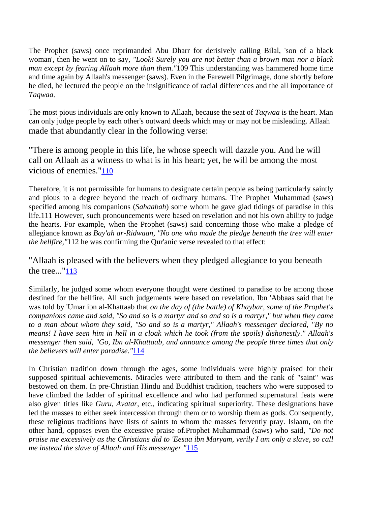The Prophet (saws) once reprimanded Abu Dharr for derisively calling Bilal, 'son of a black woman', then he went on to say, *"Look! Surely you are not better than a brown man nor a black man except by fearing Allaah more than them."*109 This understanding was hammered home time and time again by Allaah's messenger (saws). Even in the Farewell Pilgrimage, done shortly before he died, he lectured the people on the insignificance of racial differences and the all importance of *Taqwaa*.

The most pious individuals are only known to Allaah, because the seat of *Taqwaa* is the heart. Man can only judge people by each other's outward deeds which may or may not be misleading. Allaah made that abundantly clear in the following verse:

"There is among people in this life, he whose speech will dazzle you. And he will call on Allaah as a witness to what is in his heart; yet, he will be among the most vicious of enemies."110

Therefore, it is not permissible for humans to designate certain people as being particularly saintly and pious to a degree beyond the reach of ordinary humans. The Prophet Muhammad (saws) specified among his companions (*Sahaabah*) some whom he gave glad tidings of paradise in this life.111 However, such pronouncements were based on revelation and not his own ability to judge the hearts. For example, when the Prophet (saws) said concerning those who make a pledge of allegiance known as *Bay'ah ar-Ridwaan, "No one who made the pledge beneath the tree will enter the hellfire,"*112 he was confirming the Qur'anic verse revealed to that effect:

"Allaah is pleased with the believers when they pledged allegiance to you beneath the tree..."113

Similarly, he judged some whom everyone thought were destined to paradise to be among those destined for the hellfire. All such judgements were based on revelation. Ibn 'Abbaas said that he was told by 'Umar ibn al-Khattaab that *on the day of (the battle) of Khaybar, some of the Prophet's companions came and said, "So and so is a martyr and so and so is a martyr," but when they came to a man about whom they said, "So and so is a martyr," Allaah's messenger declared, "By no means! I have seen him in hell in a cloak which he took (from the spoils) dishonestly." Allaah's messenger then said, "Go, Ibn al-Khattaab, and announce among the people three times that only the believers will enter paradise."*114

In Christian tradition down through the ages, some individuals were highly praised for their supposed spiritual achievements. Miracles were attributed to them and the rank of "saint" was bestowed on them. In pre-Christian Hindu and Buddhist tradition, teachers who were supposed to have climbed the ladder of spiritual excellence and who had performed supernatural feats were also given titles like *Guru*, *Avatar*, etc., indicating spiritual superiority. These designations have led the masses to either seek intercession through them or to worship them as gods. Consequently, these religious traditions have lists of saints to whom the masses fervently pray. Islaam, on the other hand, opposes even the excessive praise of.Prophet Muhammad (saws) who said, *"Do not praise me excessively as the Christians did to 'Eesaa ibn Maryam, verily I am only a slave, so call me instead the slave of Allaah and His messenger."*115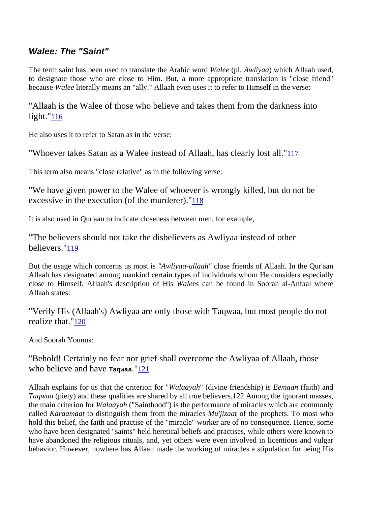#### *Walee: The "Saint"*

The term saint has been used to translate the Arabic word *Walee* (pl. *Awliyaa*) which Allaah used, to designate those who are close to Him. But, a more appropriate translation is "close friend" because *Walee* literally means an "ally." Allaah even uses it to refer to Himself in the verse:

"Allaah is the Walee of those who believe and takes them from the darkness into light."116

He also uses it to refer to Satan as in the verse:

"Whoever takes Satan as a Walee instead of Allaah, has clearly lost all."117

This term also means "close relative" as in the following verse:

"We have given power to the Walee of whoever is wrongly killed, but do not be excessive in the execution (of the murderer)."118

It is also used in Qur'aan to indicate closeness between men, for example,

"The believers should not take the disbelievers as Awliyaa instead of other believers."119

But the usage which concerns us most is *"Awliyaa-ullaah"* close friends of Allaah. In the Qur'aan Allaah has designated among mankind certain types of individuals whom He considers especially close to Himself. AIlaah's description of His *Walees* can be found in Soorah al-Anfaal where Allaah states:

"Verily His (Allaah's) Awliyaa are only those with Taqwaa, but most people do not realize that."120

And Soorah Younus:

"Behold! Certainly no fear nor grief shall overcome the Awliyaa of Allaah, those who believe and have **Taqwaa**."121

Allaah explains for us that the criterion for "*Walaayah*" (divine friendship) is *Eemaan* (faith) and *Taqwaa* (piety) and these qualities are shared by all true believers.122 Among the ignorant masses, the main criterion for *Walaayah* ("Sainthood") is the performance of miracles which are commonly called *Karaamaat* to distinguish them from the miracles *Mu'jizaat* of the prophets. To most who hold this belief, the faith and practise of the "miracle" worker are of no consequence. Hence, some who have been designated "saints" held heretical beliefs and practises, while others were known to have abandoned the religious rituals, and, yet others were even involved in licentious and vulgar behavior. However, nowhere has Allaah made the working of miracles a stipulation for being His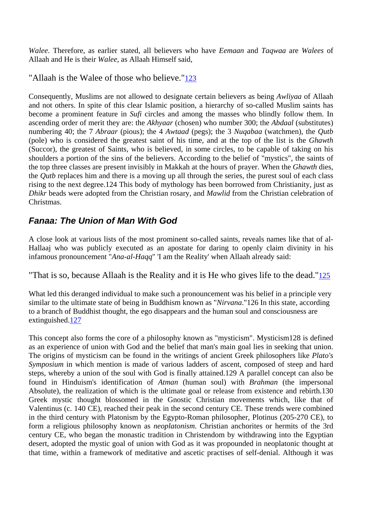*Walee*. Therefore, as earlier stated, all believers who have *Eemaan* and *Taqwaa* are *Walees* of Allaah and He is their *Walee*, as Allaah Himself said,

"Allaah is the Walee of those who believe."123

Consequently, Muslims are not allowed to designate certain believers as being *Awliyaa* of Allaah and not others. In spite of this clear Islamic position, a hierarchy of so-called Muslim saints has become a prominent feature in *Sufi* circles and among the masses who blindly follow them. In ascending order of merit they are: the *Akhyaar* (chosen) who number 300; the *Abdaal* (substitutes) numbering 40; the 7 *Abraar* (pious); the 4 *Awtaad* (pegs); the 3 *Nuqabaa* (watchmen), the *Qutb* (pole) who is considered the greatest saint of his time, and at the top of the list is the *Ghawth* (Succor), the greatest of Saints, who is believed, in some circles, to be capable of taking on his shoulders a portion of the sins of the believers. According to the belief of "mystics", the saints of the top three classes are present invisibly in Makkah at the hours of prayer. When the *Ghawth* dies, the *Qutb* replaces him and there is a moving up all through the series, the purest soul of each class rising to the next degree.124 This body of mythology has been borrowed from Christianity, just as *Dhikr* beads were adopted from the Christian rosary, and *Mawlid* from the Christian celebration of Christmas.

## *Fanaa: The Union of Man With God*

A close look at various lists of the most prominent so-called saints, reveals names like that of al-Hallaaj who was publicly executed as an apostate for daring to openly claim divinity in his infamous pronouncement "*Ana-al-Haqq*" 'I am the Reality' when Allaah already said:

"That is so, because Allaah is the Reality and it is He who gives life to the dead."125

What led this deranged individual to make such a pronouncement was his belief in a principle very similar to the ultimate state of being in Buddhism known as "*Nirvana*."126 In this state, according to a branch of Buddhist thought, the ego disappears and the human soul and consciousness are extinguished.127

This concept also forms the core of a philosophy known as "mysticism". Mysticism128 is defined as an experience of union with God and the belief that man's main goal lies in seeking that union. The origins of mysticism can be found in the writings of ancient Greek philosophers like *Plato's Symposium* in which mention is made of various ladders of ascent, composed of steep and hard steps, whereby a union of the soul with God is finally attained.129 A parallel concept can also be found in Hinduism's identification of *Atman* (human soul) with *Brahman* (the impersonal Absolute), the realization of which is the ultimate goal or release from existence and rebirth.130 Greek mystic thought blossomed in the Gnostic Christian movements which, like that of Valentinus (c. 140 CE), reached their peak in the second century CE. These trends were combined in the third century with Platonism by the Egypto-Roman philosopher, Plotinus (205-270 CE), to form a religious philosophy known as *neoplatonism*. Christian anchorites or hermits of the 3rd century CE, who began the monastic tradition in Christendom by withdrawing into the Egyptian desert, adopted the mystic goal of union with God as it was propounded in neoplatonic thought at that time, within a framework of meditative and ascetic practises of self-denial. Although it was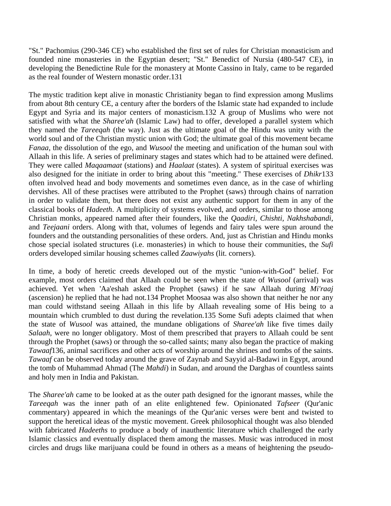"St." Pachomius (290-346 CE) who established the first set of rules for Christian monasticism and founded nine monasteries in the Egyptian desert; "St." Benedict of Nursia (480-547 CE), in developing the Benedictine Rule for the monastery at Monte Cassino in Italy, came to be regarded as the real founder of Western monastic order.131

The mystic tradition kept alive in monastic Christianity began to find expression among Muslims from about 8th century CE, a century after the borders of the Islamic state had expanded to include Egypt and Syria and its major centers of monasticism.132 A group of Muslims who were not satisfied with what the *Sharee'ah* (Islamic Law) had to offer, developed a parallel system which they named the *Tareeqah* (the way). Just as the ultimate goal of the Hindu was unity with the world soul and of the Christian mystic union with God; the ultimate goal of this movement became *Fanaa*, the dissolution of the ego, and *Wusool* the meeting and unification of the human soul with Allaah in this life. A series of preliminary stages and states which had to be attained were defined. They were called *Maqaamaat* (stations) and *Haalaat* (states). A system of spiritual exercises was also designed for the initiate in order to bring about this "meeting." These exercises of *Dhikr*133 often involved head and body movements and sometimes even dance, as in the case of whirling dervishes. All of these practises were attributed to the Prophet (saws) through chains of narration in order to validate them, but there does not exist any authentic support for them in any of the classical books of *Hadeeth*. A multiplicity of systems evolved, and orders, similar to those among Christian monks, appeared named after their founders, like the *Qaadiri, Chishti, Nakhshabandi,* and *Teejaani* orders. Along with that, volumes of legends and fairy tales were spun around the founders and the outstanding personalities of these orders. And, just as Christian and Hindu monks chose special isolated structures (i.e. monasteries) in which to house their communities, the *Sufi* orders developed similar housing schemes called *Zaawiyahs* (lit. corners).

In time, a body of heretic creeds developed out of the mystic "union-with-God" belief. For example, most orders claimed that Allaah could be seen when the state of *Wusool* (arrival) was achieved. Yet when 'Aa'eshah asked the Prophet (saws) if he saw Allaah during *Mi'raaj* (ascension) he replied that he had not.134 Prophet Moosaa was also shown that neither he nor any man could withstand seeing Allaah in this life by Allaah revealing some of His being to a mountain which crumbled to dust during the revelation.135 Some Sufi adepts claimed that when the state of *Wusool* was attained, the mundane obligations of *Sharee'ah* like five times daily *Salaah*, were no longer obligatory. Most of them prescribed that prayers to Allaah could be sent through the Prophet (saws) or through the so-called saints; many also began the practice of making *Tawaaf*136, animal sacrifices and other acts of worship around the shrines and tombs of the saints. *Tawaaf* can be observed today around the grave of Zaynab and Sayyid al-Badawi in Egypt, around the tomb of Muhammad Ahmad (The *Mahdi*) in Sudan, and around the Darghas of countless saints and holy men in India and Pakistan.

The *Sharee'ah* came to be looked at as the outer path designed for the ignorant masses, while the *Tareeqah* was the inner path of an elite enlightened few. Opinionated *Tafseer* (Qur'anic commentary) appeared in which the meanings of the Qur'anic verses were bent and twisted to support the heretical ideas of the mystic movement. Greek philosophical thought was also blended with fabricated *Hadeeths* to produce a body of inauthentic literature which challenged the early Islamic classics and eventually displaced them among the masses. Music was introduced in most circles and drugs like marijuana could be found in others as a means of heightening the pseudo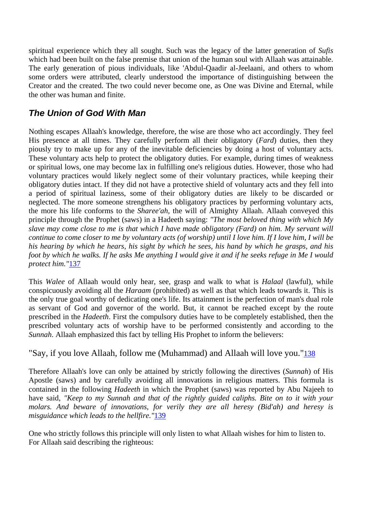spiritual experience which they all sought. Such was the legacy of the latter generation of *Sufis* which had been built on the false premise that union of the human soul with Allaah was attainable. The early generation of pious individuals, like 'Abdul-Qaadir al-Jeelaani, and others to whom some orders were attributed, clearly understood the importance of distinguishing between the Creator and the created. The two could never become one, as One was Divine and Eternal, while the other was human and finite.

### *The Union of God With Man*

Nothing escapes Allaah's knowledge, therefore, the wise are those who act accordingly. They feel His presence at all times. They carefully perform all their obligatory (*Fard*) duties, then they piously try to make up for any of the inevitable deficiencies by doing a host of voluntary acts. These voluntary acts help to protect the obligatory duties. For example, during times of weakness or spiritual lows, one may become lax in fulfilling one's religious duties. However, those who had voluntary practices would likely neglect some of their voluntary practices, while keeping their obligatory duties intact. If they did not have a protective shield of voluntary acts and they fell into a period of spiritual laziness, some of their obligatory duties are likely to be discarded or neglected. The more someone strengthens his obligatory practices by performing voluntary acts, the more his life conforms to the *Sharee'ah*, the will of Almighty Allaah. Allaah conveyed this principle through the Prophet (saws) in a Hadeeth saying: *"The most beloved thing with which My slave may come close to me is that which I have made obligatory (Fard) on him. My servant will continue to come closer to me by voluntary acts (of worship) until I love him. If I love him, I will be his hearing by which he hears, his sight by which he sees, his hand by which he grasps, and his foot by which he walks. If he asks Me anything I would give it and if he seeks refuge in Me I would protect him."*137

This *Walee* of Allaah would only hear, see, grasp and walk to what is *Halaal* (lawful), while conspicuously avoiding all the *Haraam* (prohibited) as well as that which leads towards it. This is the only true goal worthy of dedicating one's life. Its attainment is the perfection of man's dual role as servant of God and governor of the world. But, it cannot be reached except by the route prescribed in the *Hadeeth*. First the compulsory duties have to be completely established, then the prescribed voluntary acts of worship have to be performed consistently and according to the *Sunnah*. Allaah emphasized this fact by telling His Prophet to inform the believers:

#### "Say, if you love Allaah, follow me (Muhammad) and Allaah will love you."138

Therefore Allaah's love can only be attained by strictly following the directives (*Sunnah*) of His Apostle (saws) and by carefully avoiding all innovations in religious matters. This formula is contained in the following *Hadeeth* in which the Prophet (saws) was reported by Abu Najeeh to have said, *"Keep to my Sunnah and that of the rightly guided caliphs. Bite on to it with your molars. And beware of innovations, for verily they are all heresy (Bid'ah) and heresy is misguidance which leads to the hellfire."*139

One who strictly follows this principle will only listen to what Allaah wishes for him to listen to. For Allaah said describing the righteous: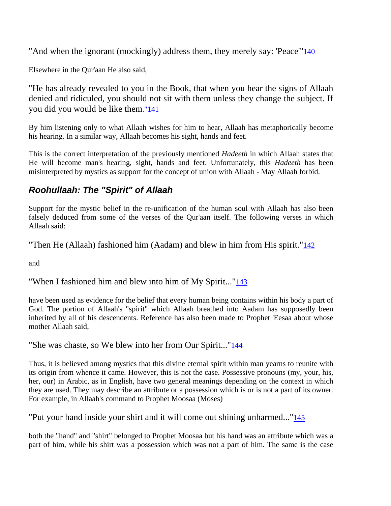"And when the ignorant (mockingly) address them, they merely say: 'Peace'"140

Elsewhere in the Qur'aan He also said,

"He has already revealed to you in the Book, that when you hear the signs of Allaah denied and ridiculed, you should not sit with them unless they change the subject. If you did you would be like them."141

By him listening only to what Allaah wishes for him to hear, Allaah has metaphorically become his hearing. In a similar way, Allaah becomes his sight, hands and feet.

This is the correct interpretation of the previously mentioned *Hadeeth* in which Allaah states that He will become man's hearing, sight, hands and feet. Unfortunately, this *Hadeeth* has been misinterpreted by mystics as support for the concept of union with Allaah - May Allaah forbid.

#### *Roohullaah: The "Spirit" of Allaah*

Support for the mystic belief in the re-unification of the human soul with Allaah has also been falsely deduced from some of the verses of the Qur'aan itself. The following verses in which Allaah said:

"Then He (Allaah) fashioned him (Aadam) and blew in him from His spirit." $\frac{142}{2}$ 

and

#### "When I fashioned him and blew into him of My Spirit..."143

have been used as evidence for the belief that every human being contains within his body a part of God. The portion of Allaah's "spirit" which Allaah breathed into Aadam has supposedly been inherited by all of his descendents. Reference has also been made to Prophet 'Eesaa about whose mother Allaah said,

"She was chaste, so We blew into her from Our Spirit..."144

Thus, it is believed among mystics that this divine eternal spirit within man yearns to reunite with its origin from whence it came. However, this is not the case. Possessive pronouns (my, your, his, her, our) in Arabic, as in English, have two general meanings depending on the context in which they are used. They may describe an attribute or a possession which is or is not a part of its owner. For example, in Allaah's command to Prophet Moosaa (Moses)

"Put your hand inside your shirt and it will come out shining unharmed..."145

both the "hand" and "shirt" belonged to Prophet Moosaa but his hand was an attribute which was a part of him, while his shirt was a possession which was not a part of him. The same is the case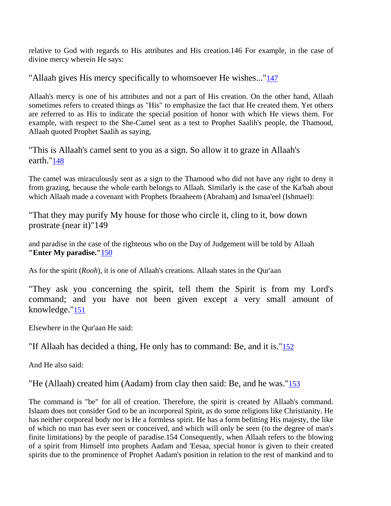relative to God with regards to His attributes and His creation.146 For example, in the case of divine mercy wherein He says:

"Allaah gives His mercy specifically to whomsoever He wishes..."147

Allaah's mercy is one of his attributes and not a part of His creation. On the other hand, Allaah sometimes refers to created things as "His" to emphasize the fact that He created them. Yet others are referred to as His to indicate the special position of honor with which He views them. For example, with respect to the She-Camel sent as a test to Prophet Saalih's people, the Thamood, Allaah quoted Prophet Saalih as saying,

"This is Allaah's camel sent to you as a sign. So allow it to graze in Allaah's earth."148

The camel was miraculously sent as a sign to the Thamood who did not have any right to deny it from grazing, because the whole earth belongs to Allaah. Similarly is the case of the Ka'bah about which Allaah made a covenant with Prophets Ibraaheem (Abraham) and Ismaa'eel (Ishmael):

"That they may purify My house for those who circle it, cling to it, bow down prostrate (near it)"149

and paradise in the case of the righteous who on the Day of Judgement will be told by Allaah **"Enter My paradise."**150

As for the spirit (*Rooh*), it is one of Allaah's creations. Allaah states in the Qur'aan

"They ask you concerning the spirit, tell them the Spirit is from my Lord's command; and you have not been given except a very small amount of knowledge."151

Elsewhere in the Qur'aan He said:

"If Allaah has decided a thing, He only has to command: Be, and it is."152

And He also said:

"He (Allaah) created him (Aadam) from clay then said: Be, and he was."153

The command is "be" for all of creation. Therefore, the spirit is created by Allaah's command. Islaam does not consider God to be an incorporeal Spirit, as do some religions like Christianity. He has neither corporeal body nor is He a formless spirit. He has a form befitting His majesty, the like of which no man has ever seen or conceived, and which will only be seen (to the degree of man's finite limitations) by the people of paradise.154 Consequently, when Allaah refers to the blowing of a spirit from Himself into prophets Aadam and 'Eesaa, special honor is given to their created spirits due to the prominence of Prophet Aadam's position in relation to the rest of mankind and to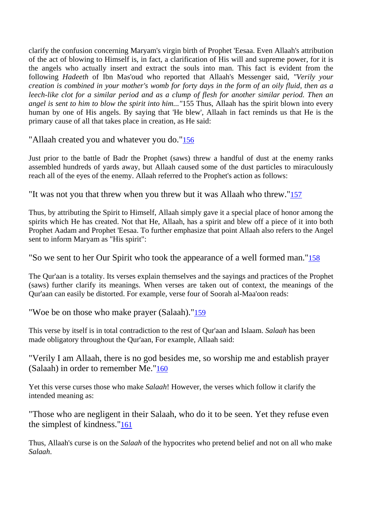clarify the confusion concerning Maryam's virgin birth of Prophet 'Eesaa. Even Allaah's attribution of the act of blowing to Himself is, in fact, a clarification of His will and supreme power, for it is the angels who actually insert and extract the souls into man. This fact is evident from the following *Hadeeth* of Ibn Mas'oud who reported that Allaah's Messenger said, *"Verily your creation is combined in your mother's womb for forty days in the form of an oily fluid, then as a*  leech-like clot for a similar period and as a clump of flesh for another similar period. Then an *angel is sent to him to blow the spirit into him..."*155 Thus, Allaah has the spirit blown into every human by one of His angels. By saying that 'He blew', Allaah in fact reminds us that He is the primary cause of all that takes place in creation, as He said:

"Allaah created you and whatever you do."156

Just prior to the battle of Badr the Prophet (saws) threw a handful of dust at the enemy ranks assembled hundreds of yards away, but Allaah caused some of the dust particles to miraculously reach all of the eyes of the enemy. Allaah referred to the Prophet's action as follows:

"It was not you that threw when you threw but it was Allaah who threw."157

Thus, by attributing the Spirit to Himself, Allaah simply gave it a special place of honor among the spirits which He has created. Not that He, Allaah, has a spirit and blew off a piece of it into both Prophet Aadam and Prophet 'Eesaa. To further emphasize that point Allaah also refers to the Angel sent to inform Maryam as "His spirit":

"So we sent to her Our Spirit who took the appearance of a well formed man."158

The Qur'aan is a totality. Its verses explain themselves and the sayings and practices of the Prophet (saws) further clarify its meanings. When verses are taken out of context, the meanings of the Qur'aan can easily be distorted. For example, verse four of Soorah al-Maa'oon reads:

"Woe be on those who make prayer (Salaah)."159

This verse by itself is in total contradiction to the rest of Qur'aan and Islaam. *Salaah* has been made obligatory throughout the Qur'aan, For example, Allaah said:

"Verily I am Allaah, there is no god besides me, so worship me and establish prayer (Salaah) in order to remember Me."160

Yet this verse curses those who make *Salaah*! However, the verses which follow it clarify the intended meaning as:

"Those who are negligent in their Salaah, who do it to be seen. Yet they refuse even the simplest of kindness."161

Thus, Allaah's curse is on the *Salaah* of the hypocrites who pretend belief and not on all who make *Salaah*.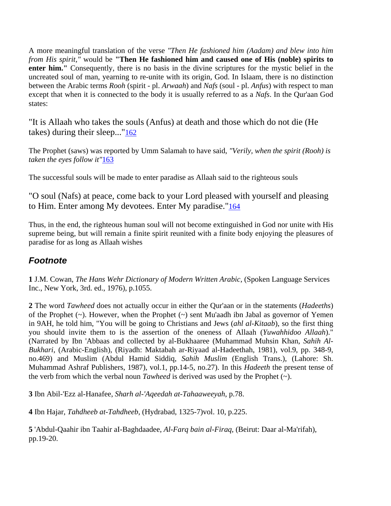A more meaningful translation of the verse *"Then He fashioned him (Aadam) and blew into him from His spirit,"* would be **"Then He fashioned him and caused one of His (noble) spirits to enter him."** Consequently, there is no basis in the divine scriptures for the mystic belief in the uncreated soul of man, yearning to re-unite with its origin, God. In Islaam, there is no distinction between the Arabic terms *Rooh* (spirit - pl. *Arwaah*) and *Nafs* (soul - pl. *Anfus*) with respect to man except that when it is connected to the body it is usually referred to as a *Nafs*. In the Qur'aan God states:

"It is Allaah who takes the souls (Anfus) at death and those which do not die (He takes) during their sleep..."162

The Prophet (saws) was reported by Umm Salamah to have said, *"Verily, when the spirit (Rooh) is taken the eyes follow it"*163

The successful souls will be made to enter paradise as Allaah said to the righteous souls

"O soul (Nafs) at peace, come back to your Lord pleased with yourself and pleasing to Him. Enter among My devotees. Enter My paradise."164

Thus, in the end, the righteous human soul will not become extinguished in God nor unite with His supreme being, but will remain a finite spirit reunited with a finite body enjoying the pleasures of paradise for as long as Allaah wishes

#### *Footnote*

**1** J.M. Cowan, *The Hans Wehr Dictionary of Modern Written Arabic*, (Spoken Language Services Inc., New York, 3rd. ed., 1976), p.1055.

**2** The word *Tawheed* does not actually occur in either the Qur'aan or in the statements (*Hadeeths*) of the Prophet (~). However, when the Prophet (~) sent Mu'aadh ibn Jabal as governor of Yemen in 9AH, he told him, "You will be going to Christians and Jews (*ahl al-Kitaab*), so the first thing you should invite them to is the assertion of the oneness of Allaah (*Yuwahhidoo Allaah*)." (Narrated by Ibn 'Abbaas and collected by al-Bukhaaree (Muhammad Muhsin Khan, *Sahih Al-Bukhari*, (Arabic-English), (Riyadh: Maktabah ar-Riyaad al-Hadeethah, 1981), vol.9, pp. 348-9, no.469) and Muslim (Abdul Hamid Siddiq, *Sahih Muslim* (English Trans.), (Lahore: Sh. Muhammad Ashraf Publishers, 1987), vol.1, pp.14-5, no.27). In this *Hadeeth* the present tense of the verb from which the verbal noun *Tawheed* is derived was used by the Prophet  $(\sim)$ .

**3** Ibn Abil-'Ezz al-Hanafee, *Sharh al-'Aqeedah at-Tahaaweeyah*, p.78.

**4** Ibn Hajar, *Tahdheeb at-Tahdheeb*, (Hydrabad, 1325-7)vol. 10, p.225.

**5** 'Abdul-Qaahir ibn Taahir aI-Baghdaadee, *Al-Farq bain al-Firaq*, (Beirut: Daar al-Ma'rifah), pp.19-20.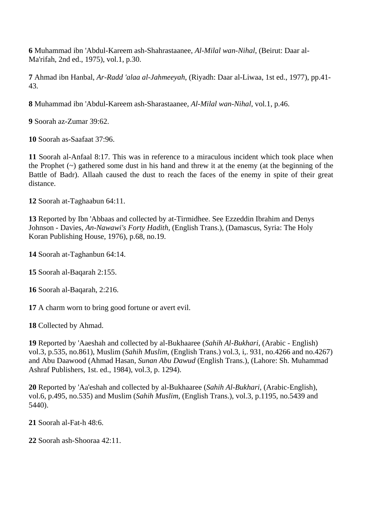**6** Muhammad ibn 'Abdul-Kareem ash-Shahrastaanee, *Al-Milal wan-Nihal*, (Beirut: Daar al-Ma'rifah, 2nd ed., 1975), vol.1, p.30.

**7** Ahmad ibn Hanbal, *Ar-Radd 'alaa al-Jahmeeyah*, (Riyadh: Daar al-Liwaa, 1st ed., 1977), pp.41- 43.

**8** Muhammad ibn 'Abdul-Kareem ash-Sharastaanee, *Al-Milal wan-Nihal*, vol.1, p.46.

**9** Soorah az-Zumar 39:62.

**10** Soorah as-Saafaat 37:96.

**11** Soorah al-Anfaal 8:17. This was in reference to a miraculous incident which took place when the Prophet  $(\sim)$  gathered some dust in his hand and threw it at the enemy (at the beginning of the Battle of Badr). Allaah caused the dust to reach the faces of the enemy in spite of their great distance.

**12** Soorah at-Taghaabun 64:11.

**13** Reported by Ibn 'Abbaas and collected by at-Tirmidhee. See Ezzeddin Ibrahim and Denys Johnson - Davies, *An-Nawawi's Forty Hadith*, (English Trans.), (Damascus, Syria: The Holy Koran Publishing House, 1976), p.68, no.19.

**14** Soorah at-Taghanbun 64:14.

**15** Soorah al-Baqarah 2:155.

**16** Soorah al-Baqarah, 2:216.

**17** A charm worn to bring good fortune or avert evil.

**18** Collected by Ahmad.

**19** Reported by 'Aaeshah and collected by al-Bukhaaree (*Sahih Al-Bukhari*, (Arabic - English) vol.3, p.535, no.861), Muslim (*Sahih Muslim*, (English Trans.) vol.3, i,. 931, no.4266 and no.4267) and Abu Daawood (Ahmad Hasan, *Sunan Abu Dawud* (English Trans.), (Lahore: Sh. Muhammad Ashraf Publishers, 1st. ed., 1984), vol.3, p. 1294).

**20** Reported by 'Aa'eshah and collected by al-Bukhaaree (*Sahih Al-Bukhari*, (Arabic-English), vol.6, p.495, no.535) and Muslim (*Sahih Muslim*, (English Trans.), vol.3, p.1195, no.5439 and 5440).

**21** Soorah al-Fat-h 48:6.

**22** Soorah ash-Shooraa 42:11.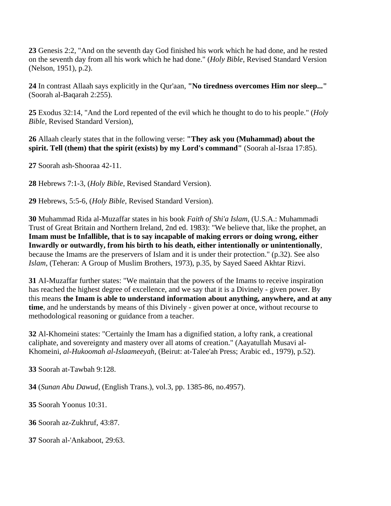**23** Genesis 2:2, "And on the seventh day God finished his work which he had done, and he rested on the seventh day from all his work which he had done." (*Holy Bible*, Revised Standard Version (Nelson, 1951), p.2).

**24** In contrast Allaah says explicitly in the Qur'aan, **"No tiredness overcomes Him nor sleep..."** (Soorah al-Baqarah 2:255).

**25** Exodus 32:14, "And the Lord repented of the evil which he thought to do to his people." (*Holy Bible*, Revised Standard Version),

**26** Allaah clearly states that in the following verse: **"They ask you (Muhammad) about the spirit. Tell (them) that the spirit (exists) by my Lord's command"** (Soorah al-Israa 17:85).

**27** Soorah ash-Shooraa 42-11.

**28** Hebrews 7:1-3, (*Holy Bible*, Revised Standard Version).

**29** Hebrews, 5:5-6, (*Holy Bible*, Revised Standard Version).

**30** Muhammad Rida al-Muzaffar states in his book *Faith of Shi'a Islam*, (U.S.A.: Muhammadi Trust of Great Britain and Northern Ireland, 2nd ed. 1983): "We believe that, like the prophet, an **Imam must be Infallible, that is to say incapable of making errors or doing wrong, either Inwardly or outwardly, from his birth to his death, either intentionally or unintentionally**, because the Imams are the preservers of Islam and it is under their protection." (p.32). See also *Islam*, (Teheran: A Group of Muslim Brothers, 1973), p.35, by Sayed Saeed Akhtar Rizvi.

**31** AI-Muzaffar further states: "We maintain that the powers of the Imams to receive inspiration has reached the highest degree of excellence, and we say that it is a Divinely - given power. By this means **the Imam is able to understand information about anything, anywhere, and at any time**, and he understands by means of this Divinely - given power at once, without recourse to methodological reasoning or guidance from a teacher.

**32** Al-Khomeini states: "Certainly the Imam has a dignified station, a lofty rank, a creational caliphate, and sovereignty and mastery over all atoms of creation." (Aayatullah Musavi al-Khomeini, *al-Hukoomah al-Islaameeyah*, (Beirut: at-Talee'ah Press; Arabic ed., 1979), p.52).

**33** Soorah at-Tawbah 9:128.

**34** (*Sunan Abu Dawud*, (English Trans.), vol.3, pp. 1385-86, no.4957).

**35** Soorah Yoonus 10:31.

**36** Soorah az-Zukhruf, 43:87.

**37** Soorah al-'Ankaboot, 29:63.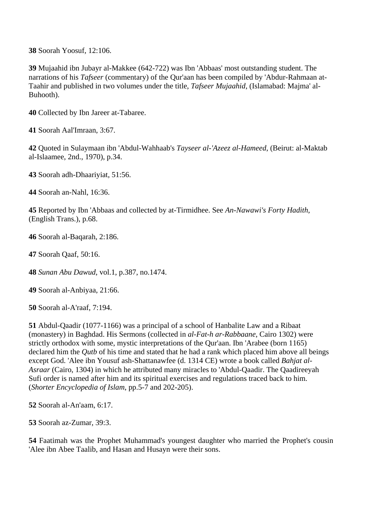**38** Soorah Yoosuf, 12:106.

**39** Mujaahid ibn Jubayr al-Makkee (642-722) was Ibn 'Abbaas' most outstanding student. The narrations of his *Tafseer* (commentary) of the Qur'aan has been compiled by 'Abdur-Rahmaan at-Taahir and published in two volumes under the title, *Tafseer Mujaahid*, (Islamabad: Majma' al-Buhooth).

**40** Collected by Ibn Jareer at-Tabaree.

**41** Soorah Aal'Imraan, 3:67.

**42** Quoted in Sulaymaan ibn 'Abdul-Wahhaab's *Tayseer al-'Azeez al-Hameed*, (Beirut: al-Maktab al-Islaamee, 2nd., 1970), p.34.

**43** Soorah adh-Dhaariyiat, 51:56.

**44** Soorah an-Nahl, 16:36.

**45** Reported by Ibn 'Abbaas and collected by at-Tirmidhee. See *An-Nawawi's Forty Hadith*, (English Trans.), p.68.

**46** Soorah al-Baqarah, 2:186.

**47** Soorah Qaaf, 50:16.

**48** *Sunan Abu Dawud*, vol.1, p.387, no.1474.

**49** Soorah al-Anbiyaa, 21:66.

**50** Soorah al-A'raaf, 7:194.

**51** Abdul-Qaadir (1077-1166) was a principal of a school of Hanbalite Law and a Ribaat (monastery) in Baghdad. His Sermons (collected in *al-Fat-h ar-Rabbaane*, Cairo 1302) were strictly orthodox with some, mystic interpretations of the Qur'aan. Ibn 'Arabee (born 1165) declared him the *Qutb* of his time and stated that he had a rank which placed him above all beings except God. 'Alee ibn Yousuf ash-Shattanawfee (d. 1314 CE) wrote a book called *Bahjat al-Asraar* (Cairo, 1304) in which he attributed many miracles to 'Abdul-Qaadir. The Qaadireeyah Sufi order is named after him and its spiritual exercises and regulations traced back to him. (*Shorter Encyclopedia of Islam*, pp.5-7 and 202-205).

**52** Soorah al-An'aam, 6:17.

**53** Soorah az-Zumar, 39:3.

**54** Faatimah was the Prophet Muhammad's youngest daughter who married the Prophet's cousin 'Alee ibn Abee Taalib, and Hasan and Husayn were their sons.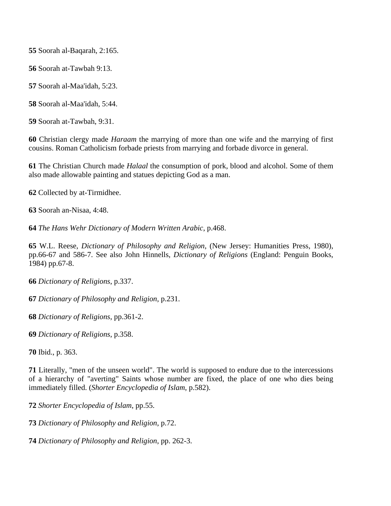Soorah al-Baqarah, 2:165.

Soorah at-Tawbah 9:13.

Soorah al-Maa'idah, 5:23.

Soorah al-Maa'idah, 5:44.

Soorah at-Tawbah, 9:31.

 Christian clergy made *Haraam* the marrying of more than one wife and the marrying of first cousins. Roman Catholicism forbade priests from marrying and forbade divorce in general.

 The Christian Church made *Halaal* the consumption of pork, blood and alcohol. Some of them also made allowable painting and statues depicting God as a man.

Collected by at-Tirmidhee.

Soorah an-Nisaa, 4:48.

*The Hans Wehr Dictionary of Modern Written Arabic*, p.468.

 W.L. Reese, *Dictionary of Philosophy and Religion*, (New Jersey: Humanities Press, 1980), pp.66-67 and 586-7. See also John Hinnells, *Dictionary of Religions* (England: Penguin Books, 1984) pp.67-8.

*Dictionary of Religions*, p.337.

*Dictionary of Philosophy and Religion*, p.231.

*Dictionary of Religions*, pp.361-2.

*Dictionary of Religions*, p.358.

Ibid., p. 363.

 Literally, "men of the unseen world". The world is supposed to endure due to the intercessions of a hierarchy of "averting" Saints whose number are fixed, the place of one who dies being immediately filled. (*Shorter Encyclopedia of Islam*, p.582).

*Shorter Encyclopedia of Islam*, pp.55.

*Dictionary of Philosophy and Religion*, p.72.

*Dictionary of Philosophy and Religion*, pp. 262-3.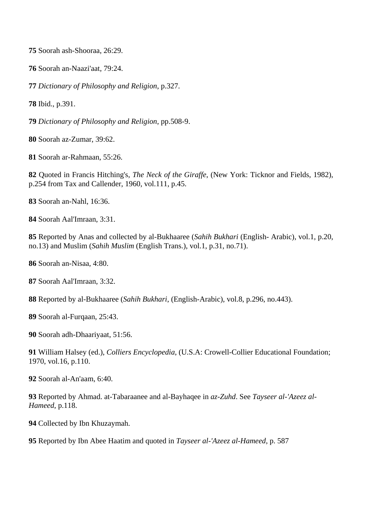Soorah ash-Shooraa, 26:29.

Soorah an-Naazi'aat, 79:24.

*Dictionary of Philosophy and Religion*, p.327.

Ibid., p.391.

*Dictionary of Philosophy and Religion*, pp.508-9.

Soorah az-Zumar, 39:62.

Soorah ar-Rahmaan, 55:26.

 Quoted in Francis Hitching's, *The Neck of the Giraffe*, (New York: Ticknor and Fields, 1982), p.254 from Tax and Callender, 1960, vol.111, p.45.

Soorah an-Nahl, 16:36.

Soorah Aal'Imraan, 3:31.

 Reported by Anas and collected by al-Bukhaaree (*Sahih Bukhari* (English- Arabic), vol.1, p.20, no.13) and Muslim (*Sahih Muslim* (English Trans.), vol.1, p.31, no.71).

Soorah an-Nisaa, 4:80.

Soorah Aal'Imraan, 3:32.

Reported by al-Bukhaaree (*Sahih Bukhari*, (English-Arabic), vol.8, p.296, no.443).

Soorah al-Furqaan, 25:43.

Soorah adh-Dhaariyaat, 51:56.

 William Halsey (ed.), *Colliers Encyclopedia*, (U.S.A: Crowell-Collier Educational Foundation; 1970, vol.16, p.110.

Soorah al-An'aam, 6:40.

 Reported by Ahmad. at-Tabaraanee and al-Bayhaqee in *az-Zuhd*. See *Tayseer al-'Azeez al-Hameed*, p.118.

Collected by Ibn Khuzaymah.

Reported by Ibn Abee Haatim and quoted in *Tayseer al-'Azeez al-Hameed*, p. 587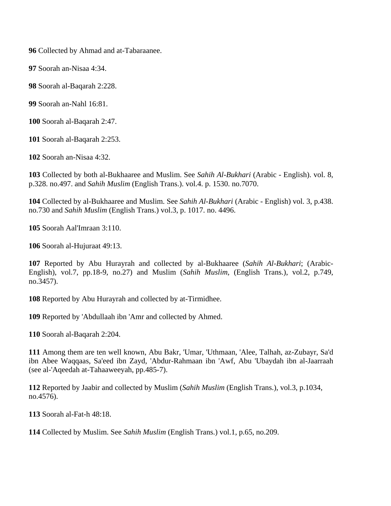Collected by Ahmad and at-Tabaraanee.

Soorah an-Nisaa 4:34.

Soorah al-Baqarah 2:228.

Soorah an-Nahl 16:81.

Soorah al-Baqarah 2:47.

Soorah al-Baqarah 2:253.

Soorah an-Nisaa 4:32.

 Collected by both al-Bukhaaree and Muslim. See *Sahih Al-Bukhari* (Arabic - English). vol. 8, p.328. no.497. and *Sahih Muslim* (English Trans.). vol.4. p. 1530. no.7070.

 Collected by al-Bukhaaree and Muslim. See *Sahih Al-Bukhari* (Arabic - English) vol. 3, p.438. no.730 and *Sahih Muslim* (English Trans.) vol.3, p. 1017. no. 4496.

Soorah Aal'Imraan 3:110.

Soorah al-Hujuraat 49:13.

 Reported by Abu Hurayrah and collected by al-Bukhaaree (*Sahih Al-Bukhari*; (Arabic-English), vol.7, pp.18-9, no.27) and Muslim (*Sahih Muslim*, (English Trans.), vol.2, p.749, no.3457).

Reported by Abu Hurayrah and collected by at-Tirmidhee.

Reported by 'Abdullaah ibn 'Amr and collected by Ahmed.

Soorah al-Baqarah 2:204.

 Among them are ten well known, Abu Bakr, 'Umar, 'Uthmaan, 'Alee, Talhah, az-Zubayr, Sa'd ibn Abee Waqqaas, Sa'eed ibn Zayd, 'Abdur-Rahmaan ibn 'Awf, Abu 'Ubaydah ibn al-Jaarraah (see al-'Aqeedah at-Tahaaweeyah, pp.485-7).

 Reported by Jaabir and collected by Muslim (*Sahih Muslim* (English Trans.), vol.3, p.1034, no.4576).

Soorah al-Fat-h 48:18.

Collected by Muslim. See *Sahih Muslim* (English Trans.) vol.1, p.65, no.209.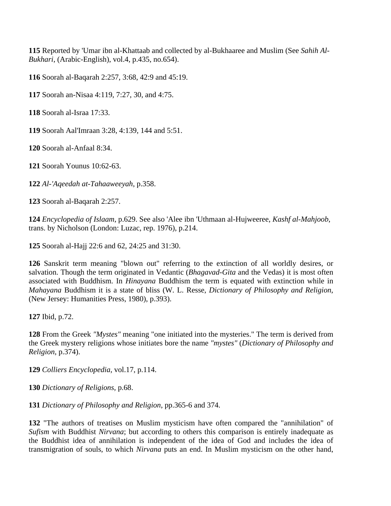Reported by 'Umar ibn al-Khattaab and collected by al-Bukhaaree and Muslim (See *Sahih Al-Bukhari*, (Arabic-English), vol.4, p.435, no.654).

Soorah al-Baqarah 2:257, 3:68, 42:9 and 45:19.

Soorah an-Nisaa 4:119, 7:27, 30, and 4:75.

Soorah al-Israa 17:33.

Soorah Aal'Imraan 3:28, 4:139, 144 and 5:51.

Soorah al-Anfaal 8:34.

Soorah Younus 10:62-63.

*Al-'Aqeedah at-Tahaaweeyah*, p.358.

Soorah al-Baqarah 2:257.

 *Encyclopedia of Islaam*, p.629. See also 'Alee ibn 'Uthmaan al-Hujweeree, *Kashf al-Mahjoob*, trans. by Nicholson (London: Luzac, rep. 1976), p.214.

Soorah al-Hajj 22:6 and 62, 24:25 and 31:30.

 Sanskrit term meaning "blown out" referring to the extinction of all worldly desires, or salvation. Though the term originated in Vedantic (*Bhagavad-Gita* and the Vedas) it is most often associated with Buddhism. In *Hinayana* Buddhism the term is equated with extinction while in *Mahayana* Buddhism it is a state of bliss (W. L. Resse, *Dictionary of Philosophy and Religion*, (New Jersey: Humanities Press, 1980), p.393).

Ibid, p.72.

 From the Greek *"Mystes"* meaning "one initiated into the mysteries." The term is derived from the Greek mystery religions whose initiates bore the name *"mystes"* (*Dictionary of Philosophy and Religion*, p.374).

*Colliers Encyclopedia*, vol.17, p.114.

*Dictionary of Religions*, p.68.

*Dictionary of Philosophy and Religion*, pp.365-6 and 374.

 "The authors of treatises on Muslim mysticism have often compared the "annihilation" of *Sufism* with Buddhist *Nirvana*; but according to others this comparison is entirely inadequate as the Buddhist idea of annihilation is independent of the idea of God and includes the idea of transmigration of souls, to which *Nirvana* puts an end. In Muslim mysticism on the other hand,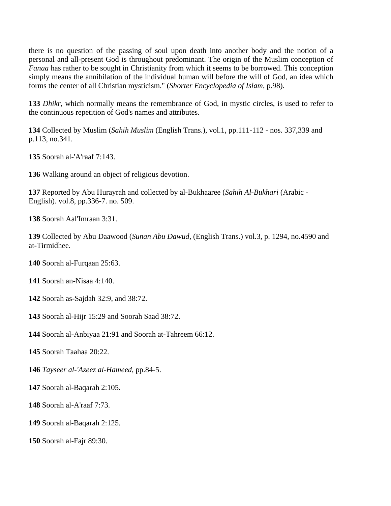there is no question of the passing of soul upon death into another body and the notion of a personal and all-present God is throughout predominant. The origin of the Muslim conception of *Fanaa* has rather to be sought in Christianity from which it seems to be borrowed. This conception simply means the annihilation of the individual human will before the will of God, an idea which forms the center of all Christian mysticism." (*Shorter Encyclopedia of Islam*, p.98).

 *Dhikr*, which normally means the remembrance of God, in mystic circles, is used to refer to the continuous repetition of God's names and attributes.

 Collected by Muslim (*Sahih Muslim* (English Trans.), vol.1, pp.111-112 - nos. 337,339 and p.113, no.341.

Soorah al-'A'raaf 7:143.

Walking around an object of religious devotion.

 Reported by Abu Hurayrah and collected by al-Bukhaaree (*Sahih Al-Bukhari* (Arabic - English). vol.8, pp.336-7. no. 509.

Soorah Aal'Imraan 3:31.

 Collected by Abu Daawood (*Sunan Abu Dawud*, (English Trans.) vol.3, p. 1294, no.4590 and at-Tirmidhee.

Soorah al-Furqaan 25:63.

Soorah an-Nisaa 4:140.

Soorah as-Sajdah 32:9, and 38:72.

Soorah al-Hijr 15:29 and Soorah Saad 38:72.

Soorah al-Anbiyaa 21:91 and Soorah at-Tahreem 66:12.

Soorah Taahaa 20:22.

*Tayseer al-'Azeez al-Hameed*, pp.84-5.

Soorah al-Baqarah 2:105.

Soorah al-A'raaf 7:73.

Soorah al-Baqarah 2:125.

Soorah al-Fajr 89:30.